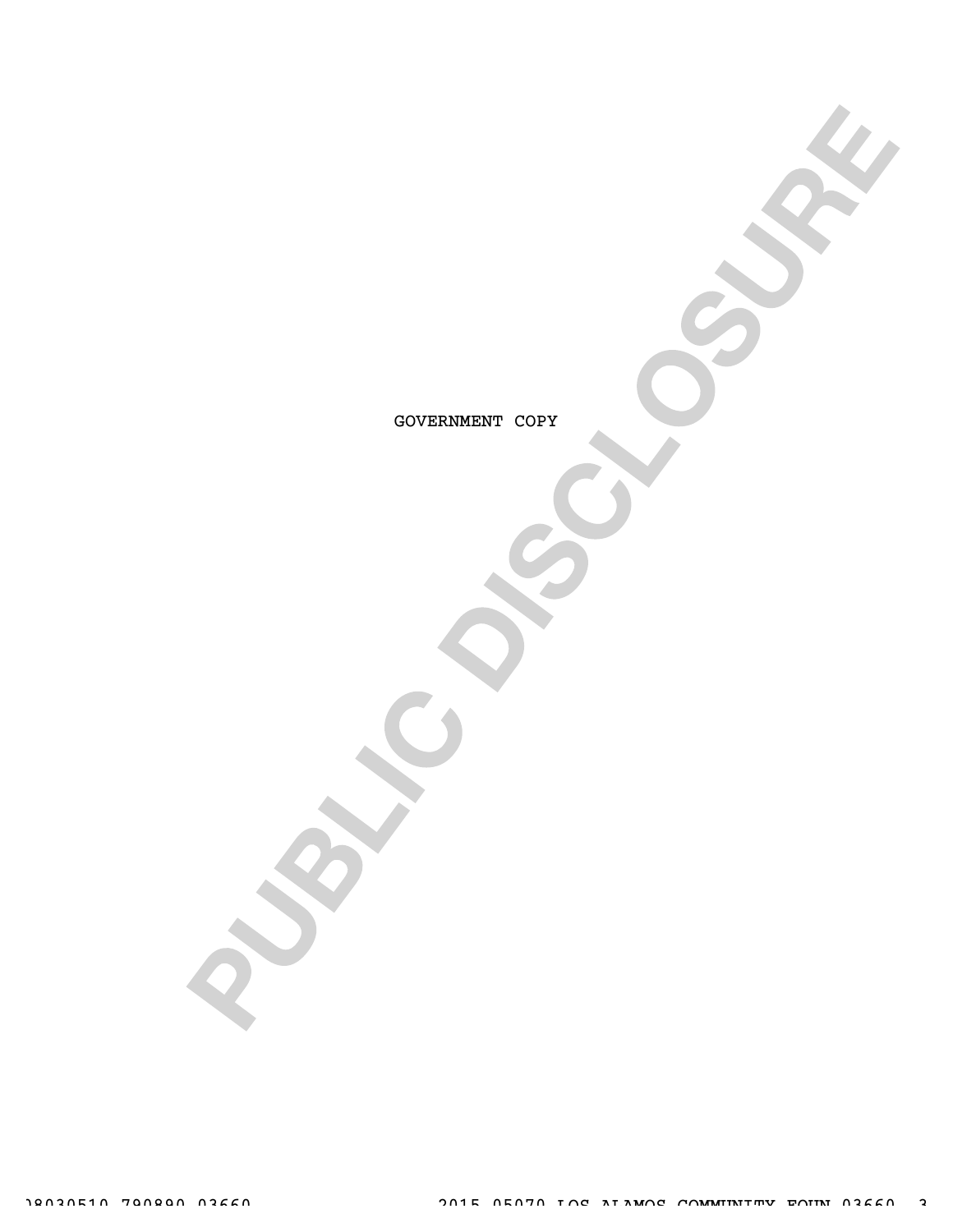GOVERNMENT COPY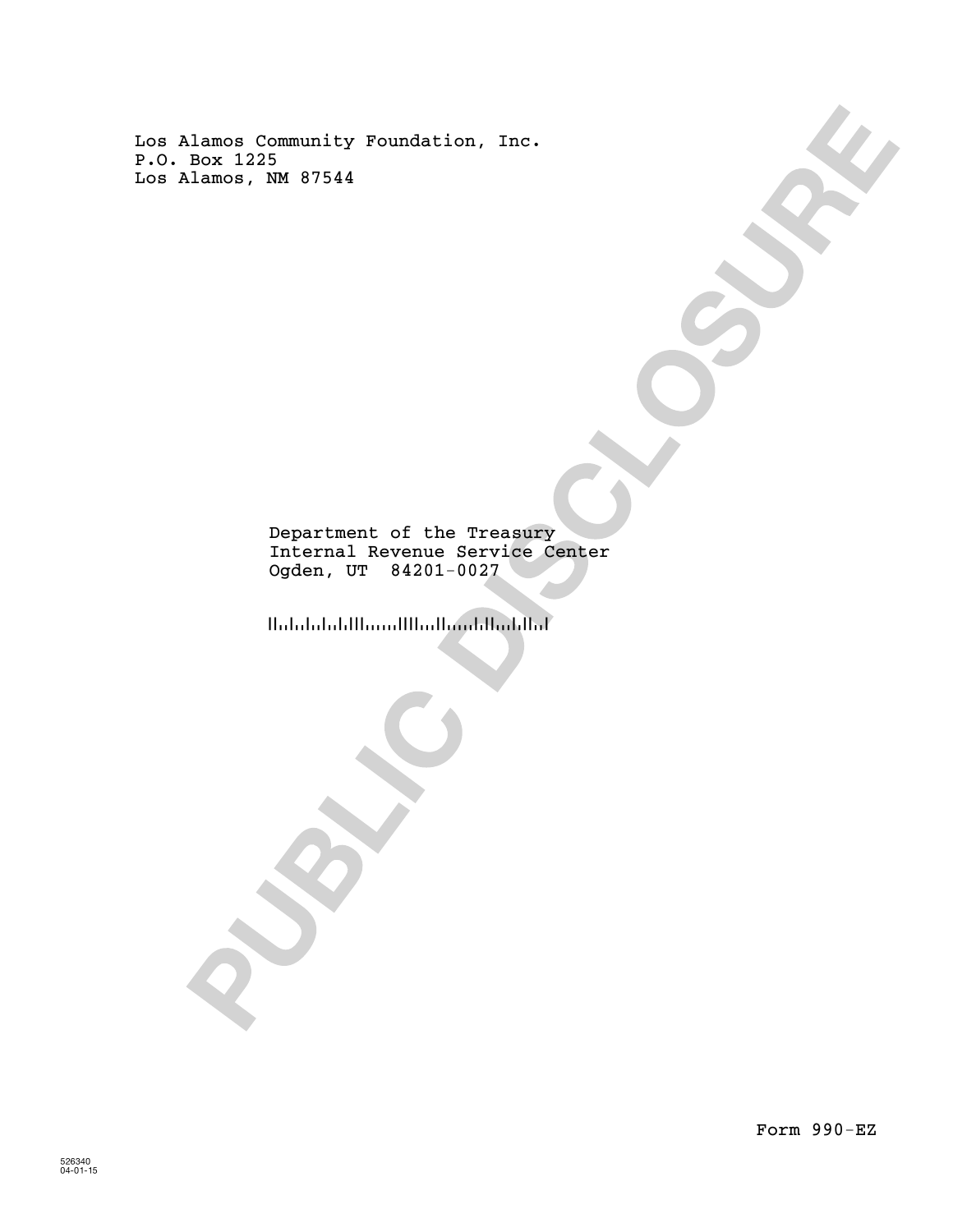Los Alamos Community Foundation, Inc. P.O. Box 1225 Los Alamos, NM 87544

> Internal Revenue Service Center Ogden, UT 84201-0027 Department of the Treasury

!!ululululillinni!!!ur!linni!urh!!url

Form 990-EZ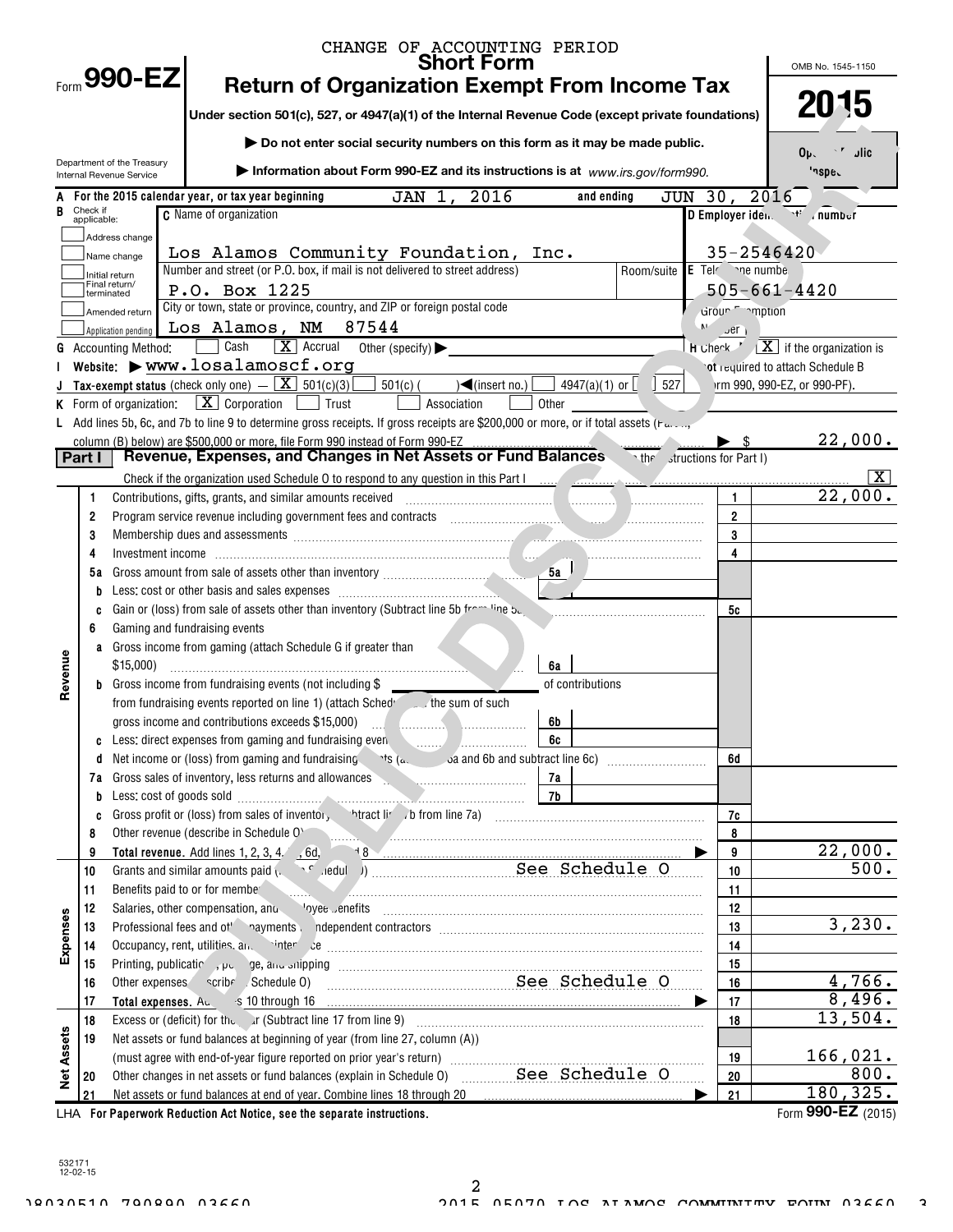|                   |                         |                                                        | CHANGE OF ACCOUNTING PERIOD<br><b>Short Form</b>                                                                                                                                                                                     |       |                         |                                        |                          | OMB No. 1545-1150                                                      |
|-------------------|-------------------------|--------------------------------------------------------|--------------------------------------------------------------------------------------------------------------------------------------------------------------------------------------------------------------------------------------|-------|-------------------------|----------------------------------------|--------------------------|------------------------------------------------------------------------|
|                   |                         | $F_{\text{form}}$ 990-EZ                               | <b>Return of Organization Exempt From Income Tax</b>                                                                                                                                                                                 |       |                         |                                        |                          |                                                                        |
|                   |                         |                                                        | Under section 501(c), 527, or 4947(a)(1) of the Internal Revenue Code (except private foundations)                                                                                                                                   |       | 2015                    |                                        |                          |                                                                        |
|                   |                         |                                                        | Do not enter social security numbers on this form as it may be made public.                                                                                                                                                          |       |                         |                                        |                          |                                                                        |
|                   |                         | Department of the Treasury<br>Internal Revenue Service | Information about Form 990-EZ and its instructions is at www.irs.gov/form990.                                                                                                                                                        |       |                         |                                        |                          | 0 <sub>b</sub><br>ا د<br>'nspe.                                        |
|                   |                         |                                                        | 2016<br>For the 2015 calendar year, or tax year beginning<br>JAN<br>1.                                                                                                                                                               |       |                         | JUN 30, 2016<br>and ending             |                          |                                                                        |
|                   | Check if<br>applicable: |                                                        | <b>C</b> Name of organization                                                                                                                                                                                                        |       |                         |                                        |                          | D Employer iden  number                                                |
|                   |                         | Address change                                         |                                                                                                                                                                                                                                      |       |                         |                                        |                          |                                                                        |
|                   |                         | Name change                                            | Los Alamos Community Foundation, Inc.                                                                                                                                                                                                |       |                         |                                        |                          | 35-2546420                                                             |
|                   |                         | Initial return<br>Final return/                        | Number and street (or P.O. box, if mail is not delivered to street address)                                                                                                                                                          |       |                         | Room/suite E Tel <sup>c</sup> ne numbe |                          |                                                                        |
|                   |                         | terminated                                             | P.O. Box 1225                                                                                                                                                                                                                        |       |                         |                                        |                          | $505 - 661 - 4420$                                                     |
|                   |                         | Amended return                                         | City or town, state or province, country, and ZIP or foreign postal code                                                                                                                                                             |       |                         |                                        | droun mption             |                                                                        |
|                   |                         | Application pending                                    | Los Alamos, NM 87544<br>$\boxed{\mathbf{X}}$ Accrual                                                                                                                                                                                 |       |                         | M                                      | $\mathsf{u}$ er          |                                                                        |
|                   |                         | <b>Accounting Method:</b>                              | Cash<br>Other (specify) $\blacktriangleright$<br>Website: Www.losalamoscf.org                                                                                                                                                        |       |                         |                                        |                          | H Check $X$ if the organization is<br>ot required to attach Schedule B |
|                   |                         |                                                        | Tax-exempt status (check only one) $ \boxed{\mathbf{X}}$ 501(c)(3)<br>$501(c)$ (<br>$\sqrt{\frac{2}{1}}$ (insert no.)                                                                                                                |       | 4947(a)(1) or $\lfloor$ | 527                                    |                          | Irm 990, 990-EZ, or 990-PF).                                           |
|                   |                         | K Form of organization:                                | $\boxed{\mathbf{X}}$ Corporation<br>Trust<br>Association                                                                                                                                                                             | Other |                         |                                        |                          |                                                                        |
|                   |                         |                                                        | L Add lines 5b, 6c, and 7b to line 9 to determine gross receipts. If gross receipts are \$200,000 or more, or if total assets (Far,                                                                                                  |       |                         |                                        |                          |                                                                        |
|                   |                         |                                                        | column (B) below) are \$500,000 or more, file Form 990 instead of Form 990-EZ                                                                                                                                                        |       |                         |                                        | $\blacktriangleright$ \$ | 22,000.                                                                |
| Part I            |                         |                                                        | Revenue, Expenses, and Changes in Net Assets or Fund Balances Tetter structions for Part I)                                                                                                                                          |       |                         |                                        |                          |                                                                        |
|                   |                         |                                                        |                                                                                                                                                                                                                                      |       |                         |                                        |                          | x                                                                      |
|                   | 1                       |                                                        | Contributions, gifts, grants, and similar amounts received                                                                                                                                                                           |       |                         |                                        | $\mathbf{1}$             | 22,000.                                                                |
|                   | $\overline{2}$          |                                                        | Program service revenue including government fees and contracts encounterance and contracts and contracts and contracts and contracts and contracts and contracts and contracts and contracts and contracts and contracts and        |       |                         |                                        | $\overline{2}$           |                                                                        |
|                   | 3                       |                                                        | Membership dues and assessments <i>communications</i> and contract the determinant of the second second second second second second second second second second second second second second second second second second second seco  |       |                         |                                        | 3                        |                                                                        |
|                   | 4                       |                                                        | Investment income in the communication of the communication of the communication of the communication of the communication of the communication of the communication of the communication of the communication of the communic       |       |                         |                                        | $\overline{4}$           |                                                                        |
|                   | 5а                      |                                                        |                                                                                                                                                                                                                                      |       |                         |                                        |                          |                                                                        |
|                   | b                       |                                                        |                                                                                                                                                                                                                                      |       |                         |                                        |                          |                                                                        |
|                   | C<br>6                  |                                                        | Gain or (loss) from sale of assets other than inventory (Subtract line 5b from line by<br>Gaming and fundraising events                                                                                                              |       |                         |                                        | 5c                       |                                                                        |
|                   | a                       |                                                        | Gross income from gaming (attach Schedule G if greater than                                                                                                                                                                          |       |                         |                                        |                          |                                                                        |
|                   |                         | \$15,000                                               |                                                                                                                                                                                                                                      | 6a    |                         |                                        |                          |                                                                        |
| Revenue           | b                       |                                                        | Gross income from fundraising events (not including \$                                                                                                                                                                               |       | of contributions        |                                        |                          |                                                                        |
|                   |                         |                                                        | from fundraising events reported on line 1) (attach Sched the sum of such                                                                                                                                                            |       |                         |                                        |                          |                                                                        |
|                   |                         |                                                        | gross income and contributions exceeds \$15,000)                                                                                                                                                                                     | 6b    |                         |                                        |                          |                                                                        |
|                   | C                       |                                                        | Less: direct expenses from gaming and fundraising even <b>Constanting the constant of the set of the set of the set of the set of the set of the set of the set of the set of the set of the set of the set of the set of the se</b> | 6c    |                         |                                        |                          |                                                                        |
|                   | d                       |                                                        |                                                                                                                                                                                                                                      |       |                         |                                        | 6d                       |                                                                        |
|                   | 7а                      |                                                        | Gross sales of inventory, less returns and allowances expressions and allowances                                                                                                                                                     | 7a    |                         |                                        |                          |                                                                        |
|                   | b                       |                                                        |                                                                                                                                                                                                                                      |       |                         |                                        |                          |                                                                        |
|                   | C                       |                                                        | Gross profit or (loss) from sales of inventor, htract liver of the Manuscript or the Sales profit or (loss) from sales of inventor, htract liver of the Manuscript of the Sales profit of the Manuscript of the Sales profit o       |       |                         |                                        | 7c                       |                                                                        |
|                   | 8<br>9                  |                                                        | Other revenue (describe in Schedule O' and an according to the contract of the state of the contract of the contract of the contract of the contract of the contract of the contract of the contract of the contract of the co       |       |                         |                                        | $\bf{8}$<br>9            | 22,000.                                                                |
|                   | 10                      |                                                        |                                                                                                                                                                                                                                      |       |                         |                                        | 10                       | 500.                                                                   |
|                   | 11                      |                                                        | Benefits paid to or for membe                                                                                                                                                                                                        |       |                         |                                        | 11                       |                                                                        |
|                   | 12                      |                                                        | Salaries, other compensation, and vyee enefits manufactured communications of the compensation, and vertex of the second communication of the second state of the second state of the second state of the second state of the        |       |                         |                                        | 12                       |                                                                        |
|                   | 13                      |                                                        |                                                                                                                                                                                                                                      |       |                         |                                        | 13                       | 3,230.                                                                 |
| Expenses          | 14                      |                                                        |                                                                                                                                                                                                                                      |       |                         |                                        | 14                       |                                                                        |
|                   | 15                      |                                                        |                                                                                                                                                                                                                                      | 15    |                         |                                        |                          |                                                                        |
|                   | 16                      |                                                        | See Schedule O<br>Other expenses scribe Schedule 0)                                                                                                                                                                                  | 16    | 4,766.                  |                                        |                          |                                                                        |
|                   | 17                      |                                                        |                                                                                                                                                                                                                                      |       |                         |                                        | 17                       | 8,496.                                                                 |
|                   | 18                      |                                                        |                                                                                                                                                                                                                                      |       |                         |                                        | 18                       | 13,504.                                                                |
| <b>Net Assets</b> | 19                      |                                                        | Net assets or fund balances at beginning of year (from line 27, column (A))                                                                                                                                                          |       |                         |                                        |                          | 166,021.                                                               |
|                   | 20                      |                                                        | Other changes in net assets or fund balances (explain in Schedule 0) ___________See_Schedule_0                                                                                                                                       |       |                         |                                        | 19<br>20                 | 800.                                                                   |
|                   | 21                      |                                                        | Net assets or fund balances at end of year. Combine lines 18 through 20                                                                                                                                                              |       |                         |                                        | 21                       | 180, 325.                                                              |
|                   |                         |                                                        | LHA For Paperwork Reduction Act Notice, see the separate instructions.                                                                                                                                                               |       |                         |                                        |                          | Form 990-EZ $(2015)$                                                   |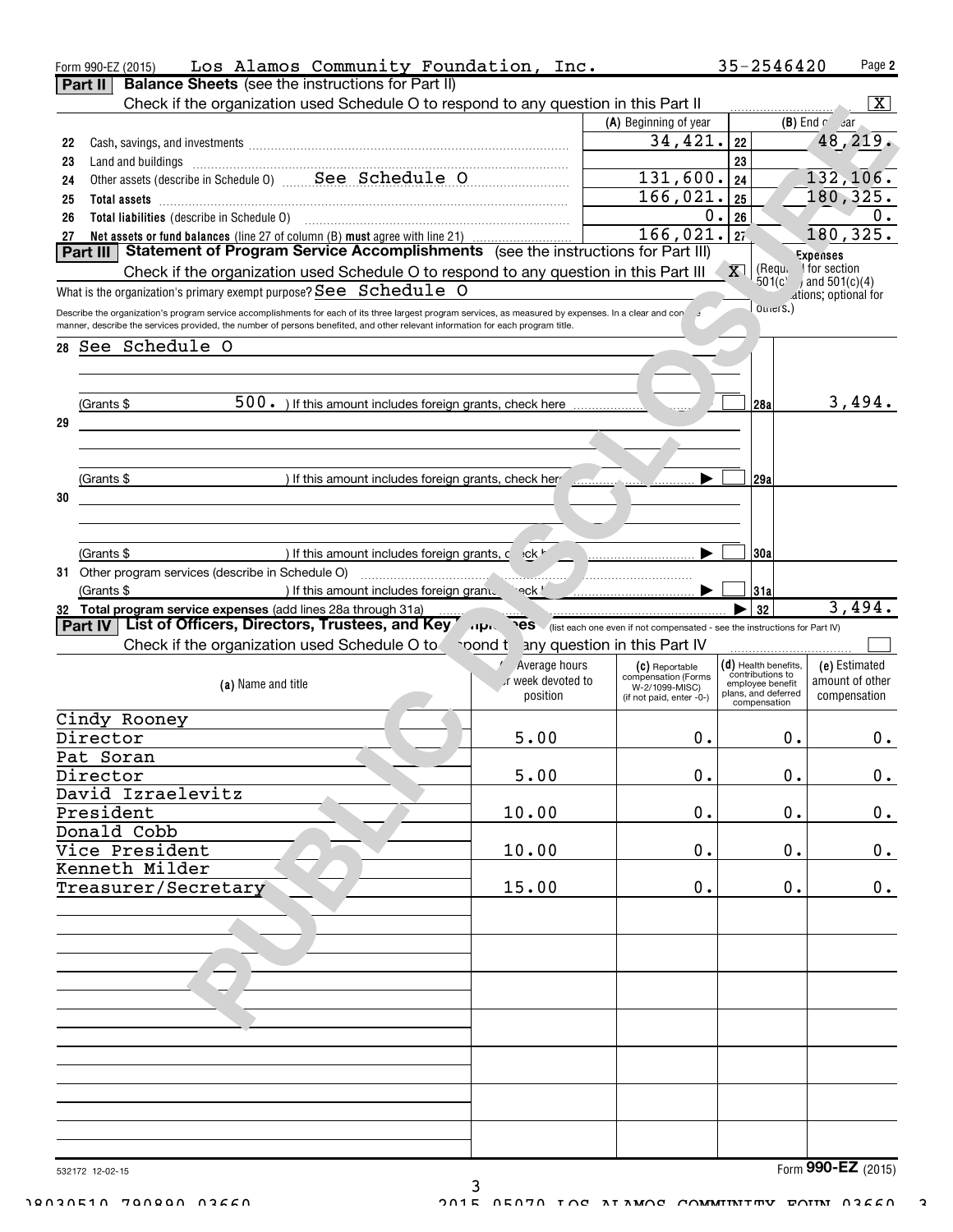|                              | Los Alamos Community Foundation, Inc.<br>Form 990-EZ (2015)<br><b>Balance Sheets</b> (see the instructions for Part II)<br>Part II                                                                                                                                                         |                                |                                       | 35-2546420                                 | Page 2                          |  |  |  |
|------------------------------|--------------------------------------------------------------------------------------------------------------------------------------------------------------------------------------------------------------------------------------------------------------------------------------------|--------------------------------|---------------------------------------|--------------------------------------------|---------------------------------|--|--|--|
|                              | Check if the organization used Schedule O to respond to any question in this Part II                                                                                                                                                                                                       |                                |                                       |                                            | - X I                           |  |  |  |
|                              |                                                                                                                                                                                                                                                                                            |                                | (A) Beginning of year                 |                                            | $(B)$ End $f$ ar                |  |  |  |
|                              |                                                                                                                                                                                                                                                                                            |                                | 34,421.                               |                                            |                                 |  |  |  |
| 22                           |                                                                                                                                                                                                                                                                                            |                                |                                       | 22                                         | 48, 219.                        |  |  |  |
| 23                           |                                                                                                                                                                                                                                                                                            |                                |                                       | 23                                         |                                 |  |  |  |
| 24                           |                                                                                                                                                                                                                                                                                            |                                | 131,600.                              | 24                                         | 132, 106.                       |  |  |  |
| 25                           |                                                                                                                                                                                                                                                                                            |                                | $\overline{166}$ , 021.               | 25                                         | 180,325.                        |  |  |  |
| 26                           |                                                                                                                                                                                                                                                                                            |                                | 0.                                    | 26                                         | 0.                              |  |  |  |
| 27                           | Net assets or fund balances (line 27 of column (B) must agree with line 21)<br>Statement of Program Service Accomplishments (see the instructions for Part III)                                                                                                                            |                                | 166,021.                              | 27                                         | 180,325.                        |  |  |  |
|                              | Part III                                                                                                                                                                                                                                                                                   |                                |                                       |                                            | Expenses<br>I for section       |  |  |  |
|                              | Check if the organization used Schedule O to respond to any question in this Part III                                                                                                                                                                                                      |                                |                                       | (Requ<br>X <sub>1</sub><br>501(c)          | $(a)$ and 501(c)(4)             |  |  |  |
|                              | What is the organization's primary exempt purpose? $\texttt{See} \ \ \texttt{Schedule} \ \ \texttt{O}$                                                                                                                                                                                     |                                |                                       |                                            | ations; optional for            |  |  |  |
|                              | Describe the organization's program service accomplishments for each of its three largest program services, as measured by expenses. In a clear and con<br>manner, describe the services provided, the number of persons benefited, and other relevant information for each program title. |                                |                                       | $O$ triers.)                               |                                 |  |  |  |
|                              | 28 See Schedule O                                                                                                                                                                                                                                                                          |                                |                                       |                                            |                                 |  |  |  |
|                              |                                                                                                                                                                                                                                                                                            |                                |                                       |                                            |                                 |  |  |  |
|                              |                                                                                                                                                                                                                                                                                            |                                |                                       |                                            |                                 |  |  |  |
|                              | 500. ) If this amount includes foreign grants, check here<br>(Grants \$                                                                                                                                                                                                                    |                                |                                       | 28a                                        | 3,494.                          |  |  |  |
| 29                           |                                                                                                                                                                                                                                                                                            |                                |                                       |                                            |                                 |  |  |  |
|                              |                                                                                                                                                                                                                                                                                            |                                |                                       |                                            |                                 |  |  |  |
|                              |                                                                                                                                                                                                                                                                                            |                                |                                       |                                            |                                 |  |  |  |
|                              | (Grants \$<br>) If this amount includes foreign grants, check her manufactured in                                                                                                                                                                                                          |                                |                                       | 29a                                        |                                 |  |  |  |
| 30                           |                                                                                                                                                                                                                                                                                            |                                |                                       |                                            |                                 |  |  |  |
|                              |                                                                                                                                                                                                                                                                                            |                                |                                       |                                            |                                 |  |  |  |
|                              |                                                                                                                                                                                                                                                                                            |                                |                                       |                                            |                                 |  |  |  |
|                              | ) If this amount includes foreign grants, c +ck '                                                                                                                                                                                                                                          |                                |                                       |                                            |                                 |  |  |  |
|                              | (Grants \$                                                                                                                                                                                                                                                                                 |                                |                                       | 30a                                        |                                 |  |  |  |
|                              | 31 Other program services (describe in Schedule O)<br>If this amount includes foreign gram.                                                                                                                                                                                                | eck !                          |                                       |                                            |                                 |  |  |  |
|                              | (Grants \$                                                                                                                                                                                                                                                                                 |                                |                                       | 31a<br>32                                  | 3,494.                          |  |  |  |
|                              | 32 Total program service expenses (add lines 28a through 31a)                                                                                                                                                                                                                              |                                |                                       |                                            |                                 |  |  |  |
|                              | List of Officers, Directors, Trustees, and Key 1997 (list each one even if not compensated - see the instructions for Part IV)<br><b>Part IV</b>                                                                                                                                           |                                |                                       |                                            |                                 |  |  |  |
| any question in this Part IV |                                                                                                                                                                                                                                                                                            |                                |                                       |                                            |                                 |  |  |  |
|                              | Check if the organization used Schedule O to                                                                                                                                                                                                                                               | oond t                         |                                       |                                            |                                 |  |  |  |
|                              |                                                                                                                                                                                                                                                                                            | Average hours                  | (C) Reportable<br>compensation (Forms | $(d)$ Health benefits,<br>contributions to | (e) Estimated                   |  |  |  |
|                              | (a) Name and title                                                                                                                                                                                                                                                                         | or week devoted to<br>position | W-2/1099-MISC)                        | employee benefit<br>plans, and deferred    | amount of other<br>compensation |  |  |  |
|                              |                                                                                                                                                                                                                                                                                            |                                | (if not paid, enter -0-)              | compensation                               |                                 |  |  |  |
|                              | Cindy Rooney                                                                                                                                                                                                                                                                               |                                |                                       |                                            |                                 |  |  |  |
|                              | Director                                                                                                                                                                                                                                                                                   | 5.00                           | 0.                                    | 0.                                         | 0.                              |  |  |  |
|                              | Pat Soran                                                                                                                                                                                                                                                                                  |                                |                                       |                                            |                                 |  |  |  |
|                              | Director                                                                                                                                                                                                                                                                                   | 5.00                           | 0.                                    | 0.                                         | $0_{.}$                         |  |  |  |
|                              | David Izraelevitz                                                                                                                                                                                                                                                                          |                                |                                       |                                            |                                 |  |  |  |
|                              | President                                                                                                                                                                                                                                                                                  | 10.00                          | 0.                                    | $\mathbf 0$ .                              | 0.                              |  |  |  |
|                              | Donald Cobb                                                                                                                                                                                                                                                                                |                                |                                       |                                            |                                 |  |  |  |
|                              | Vice President                                                                                                                                                                                                                                                                             | 10.00                          | 0.                                    | 0.                                         | 0.                              |  |  |  |
|                              | Kenneth Milder                                                                                                                                                                                                                                                                             |                                |                                       |                                            |                                 |  |  |  |
|                              | Treasurer/Secretary                                                                                                                                                                                                                                                                        | 15.00                          | 0.                                    | 0.                                         | 0.                              |  |  |  |
|                              |                                                                                                                                                                                                                                                                                            |                                |                                       |                                            |                                 |  |  |  |
|                              |                                                                                                                                                                                                                                                                                            |                                |                                       |                                            |                                 |  |  |  |
|                              |                                                                                                                                                                                                                                                                                            |                                |                                       |                                            |                                 |  |  |  |
|                              |                                                                                                                                                                                                                                                                                            |                                |                                       |                                            |                                 |  |  |  |
|                              |                                                                                                                                                                                                                                                                                            |                                |                                       |                                            |                                 |  |  |  |
|                              |                                                                                                                                                                                                                                                                                            |                                |                                       |                                            |                                 |  |  |  |
|                              |                                                                                                                                                                                                                                                                                            |                                |                                       |                                            |                                 |  |  |  |
|                              |                                                                                                                                                                                                                                                                                            |                                |                                       |                                            |                                 |  |  |  |
|                              |                                                                                                                                                                                                                                                                                            |                                |                                       |                                            |                                 |  |  |  |
|                              |                                                                                                                                                                                                                                                                                            |                                |                                       |                                            |                                 |  |  |  |
|                              |                                                                                                                                                                                                                                                                                            |                                |                                       |                                            |                                 |  |  |  |
|                              |                                                                                                                                                                                                                                                                                            |                                |                                       |                                            |                                 |  |  |  |
|                              |                                                                                                                                                                                                                                                                                            |                                |                                       |                                            |                                 |  |  |  |
|                              |                                                                                                                                                                                                                                                                                            |                                |                                       |                                            |                                 |  |  |  |

3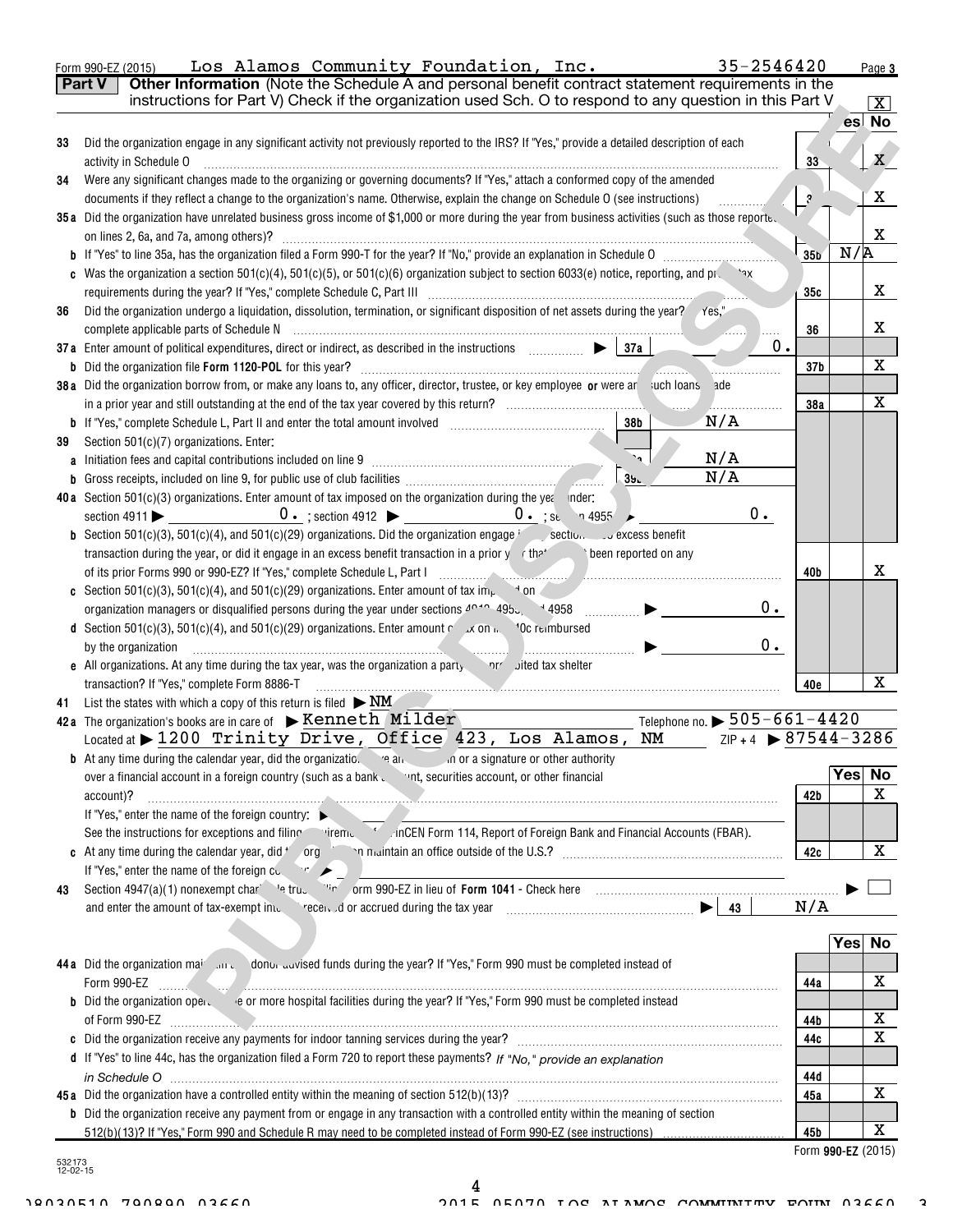|        | 35-2546420<br>Los Alamos Community Foundation, Inc.<br>Form 990-EZ (2015)                                                                                                                                                                                                   |                    |     | Page 3     |
|--------|-----------------------------------------------------------------------------------------------------------------------------------------------------------------------------------------------------------------------------------------------------------------------------|--------------------|-----|------------|
|        | Other Information (Note the Schedule A and personal benefit contract statement requirements in the<br><b>Part V</b>                                                                                                                                                         |                    |     |            |
|        | instructions for Part V) Check if the organization used Sch. O to respond to any question in this Part V                                                                                                                                                                    |                    |     | <u>x  </u> |
|        |                                                                                                                                                                                                                                                                             |                    |     | es No      |
| 33     | Did the organization engage in any significant activity not previously reported to the IRS? If "Yes," provide a detailed description of each                                                                                                                                |                    |     |            |
|        | activity in Schedule O                                                                                                                                                                                                                                                      | 33                 |     | X.         |
| 34     | Were any significant changes made to the organizing or governing documents? If "Yes," attach a conformed copy of the amended                                                                                                                                                |                    |     |            |
|        | documents if they reflect a change to the organization's name. Otherwise, explain the change on Schedule O (see instructions)                                                                                                                                               | $\cdot$ ?          |     | x          |
|        | 35a Did the organization have unrelated business gross income of \$1,000 or more during the year from business activities (such as those reporte.                                                                                                                           |                    |     |            |
|        |                                                                                                                                                                                                                                                                             |                    |     | X          |
|        |                                                                                                                                                                                                                                                                             | 35 <sub>b</sub>    | N/R |            |
|        | c Was the organization a section $501(c)(4)$ , $501(c)(5)$ , or $501(c)(6)$ organization subject to section 6033(e) notice, reporting, and production-                                                                                                                      |                    |     |            |
|        |                                                                                                                                                                                                                                                                             | 35с                |     | x          |
| 36     | Did the organization undergo a liquidation, dissolution, termination, or significant disposition of net assets during the year? //es,"                                                                                                                                      |                    |     |            |
|        |                                                                                                                                                                                                                                                                             | 36                 |     | x          |
|        | 0.<br>37a Enter amount of political expenditures, direct or indirect, as described in the instructions $\Box$ $\Box$ $\Box$ $\Box$                                                                                                                                          |                    |     |            |
|        | <b>b</b> Did the organization file Form 1120-POL for this year?                                                                                                                                                                                                             | 37 <sub>b</sub>    |     | х          |
|        | 38a Did the organization borrow from, or make any loans to, any officer, director, trustee, or key employee or were ar uch loans ade                                                                                                                                        |                    |     |            |
|        |                                                                                                                                                                                                                                                                             | 38a                |     | X          |
|        | N/A<br>38 <sub>b</sub>                                                                                                                                                                                                                                                      |                    |     |            |
| 39     | Section 501(c)(7) organizations. Enter:<br>ā.<br>N/A                                                                                                                                                                                                                        |                    |     |            |
|        | a Initiation fees and capital contributions included on line 9 [11] [11] Initiation fees and capital contributions included on line 9<br>N/A                                                                                                                                |                    |     |            |
|        | 39 <sub>h</sub>                                                                                                                                                                                                                                                             |                    |     |            |
|        | 40a Section $501(c)(3)$ organizations. Enter amount of tax imposed on the organization during the year inder:<br>$0$ .                                                                                                                                                      |                    |     |            |
|        |                                                                                                                                                                                                                                                                             |                    |     |            |
|        | <b>b</b> Section 501(c)(3), 501(c)(4), and 501(c)(29) organizations. Did the organization engage $\frac{1}{2}$ section $\frac{1}{2}$ excess benefit<br>transaction during the year, or did it engage in an excess benefit transaction in a prior y the been reported on any |                    |     |            |
|        |                                                                                                                                                                                                                                                                             | 40b                |     | x          |
|        | <b>c</b> Section 501(c)(3), 501(c)(4), and 501(c)(29) organizations. Enter amount of tax im <sub>p</sub> $\rightarrow$ on                                                                                                                                                   |                    |     |            |
|        | 0.                                                                                                                                                                                                                                                                          |                    |     |            |
|        | <b>d</b> Section 501(c)(3), 501(c)(4), and 501(c)(29) organizations. Enter amount $\sim x$ on $\sim$ 10c reimbursed                                                                                                                                                         |                    |     |            |
|        | $0$ .<br>by the organization                                                                                                                                                                                                                                                |                    |     |            |
|        | e All organizations. At any time during the tax year, was the organization a party mericulted tax shelter                                                                                                                                                                   |                    |     |            |
|        | transaction? If "Yes," complete Form 8886-T                                                                                                                                                                                                                                 | 40e                |     | х          |
| 41     | List the states with which a copy of this return is filed $\triangleright$ NM                                                                                                                                                                                               |                    |     |            |
|        | Telephone no. $\triangleright$ 505-661-4420<br>42a The organization's books are in care of $\triangleright$ Kenneth Milder                                                                                                                                                  |                    |     |            |
|        | Located at $\blacktriangleright$ 1200 Trinity Drive, Office 423, Los Alamos, NM<br>$ZIP + 4$ $\triangleright$ 87544-3286                                                                                                                                                    |                    |     |            |
|        | <b>b</b> At any time during the calendar year, did the organizatic. $\cdot$ e and $\cdot$<br>on or a signature or other authority                                                                                                                                           |                    |     |            |
|        | over a financial account in a foreign country (such as a bank with securities account, or other financial                                                                                                                                                                   |                    | Yes | No         |
|        | account)?<br><u> 1980 - Andrea Stadt Stadt Stadt Stadt Stadt Stadt Stadt Stadt Stadt Stadt Stadt Stadt Stadt Stadt Stadt Stadt Stadt Stadt Stadt Stadt Stadt Stadt Stadt Stadt Stadt Stadt Stadt Stadt Stadt Stadt Stadt Stadt Stadt Stadt St</u>                           | 42 b               |     | х          |
|        | If "Yes," enter the name of the foreign country: $\blacktriangleright$                                                                                                                                                                                                      |                    |     |            |
|        | See the instructions for exceptions and filing iremediation of Form 114, Report of Foreign Bank and Financial Accounts (FBAR).                                                                                                                                              |                    |     |            |
|        | <b>c</b> At any time during the calendar year, did $\prime$ org                                                                                                                                                                                                             | 42c                |     | x          |
|        | If "Yes," enter the name of the foreign co.<br>$\mathbb{R}$ $\blacktriangleright$                                                                                                                                                                                           |                    |     |            |
| 43     | Section 4947(a)(1) nonexempt char let true in the orm 990-EZ in lieu of Form 1041 - Check here manufactured in the manufactured with the Section 4947(a)(1) nonexempt char-                                                                                                 |                    |     |            |
|        | and enter the amount of tax-exempt im.                                                                                                                                                                                                                                      | N/A                |     |            |
|        |                                                                                                                                                                                                                                                                             |                    |     |            |
|        |                                                                                                                                                                                                                                                                             |                    | Yes | <b>No</b>  |
|        | 44a Did the organization main all the donor advised funds during the year? If "Yes," Form 990 must be completed instead of                                                                                                                                                  |                    |     |            |
|        | Form 990-EZ                                                                                                                                                                                                                                                                 | 44a                |     | х          |
|        |                                                                                                                                                                                                                                                                             |                    |     |            |
|        | of Form 990-EZ                                                                                                                                                                                                                                                              | 44b                |     | х          |
|        |                                                                                                                                                                                                                                                                             | 44c                |     | X          |
|        | d If "Yes" to line 44c, has the organization filed a Form 720 to report these payments? If "No." provide an explanation                                                                                                                                                     |                    |     |            |
|        |                                                                                                                                                                                                                                                                             | 44d                |     | x          |
|        |                                                                                                                                                                                                                                                                             | 45a                |     |            |
|        | <b>b</b> Did the organization receive any payment from or engage in any transaction with a controlled entity within the meaning of section                                                                                                                                  | 45b                |     | х          |
|        |                                                                                                                                                                                                                                                                             | Form 990-EZ (2015) |     |            |
| 532173 |                                                                                                                                                                                                                                                                             |                    |     |            |

4

532173 12-02-15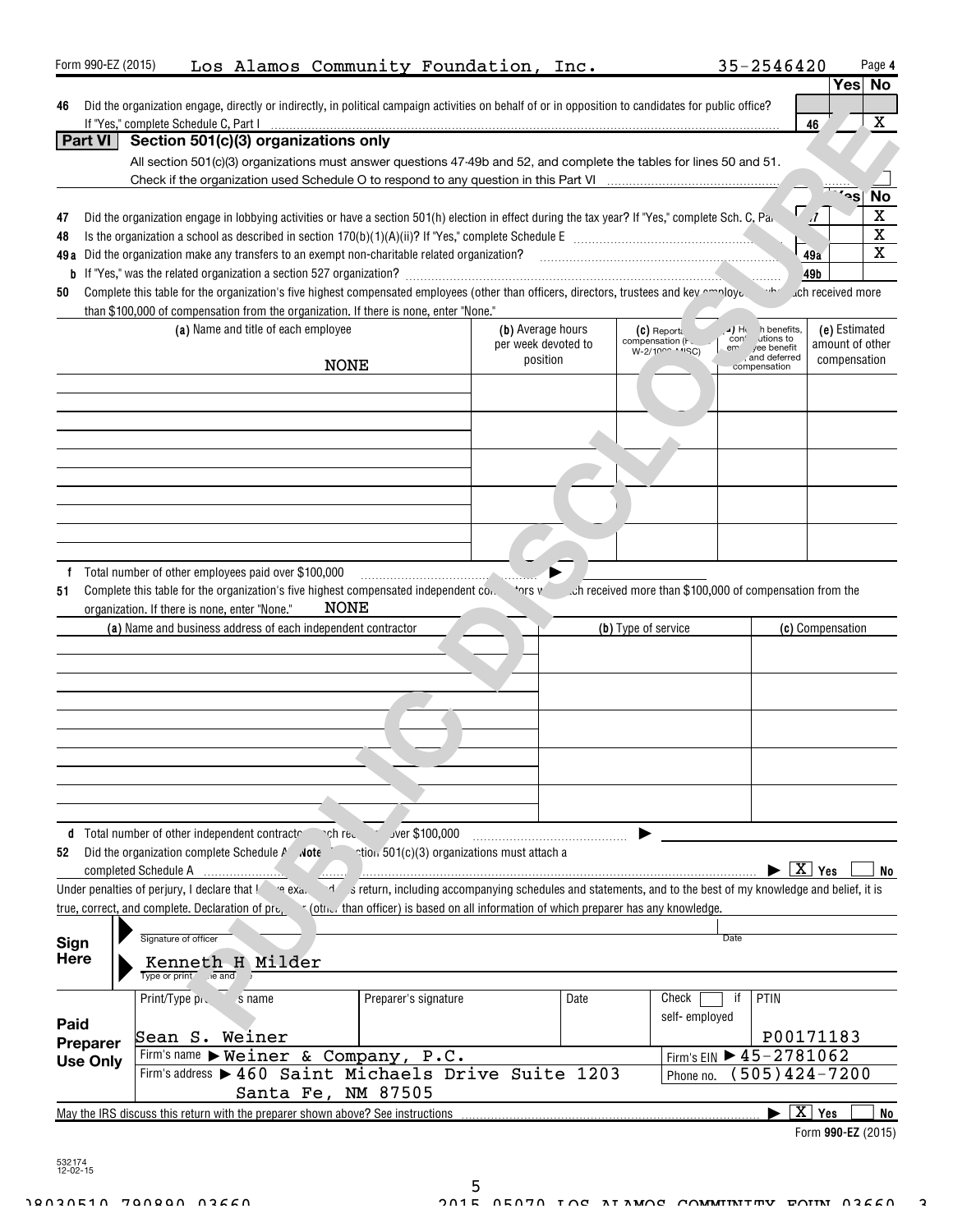| Form 990-EZ (2015) |                                                                                                                                                              |                                                                                       |            | Los Alamos Community Foundation, Inc.                                                                                                                |      |                                                          | 35-2546420                               | Page 4                         |  |  |  |
|--------------------|--------------------------------------------------------------------------------------------------------------------------------------------------------------|---------------------------------------------------------------------------------------|------------|------------------------------------------------------------------------------------------------------------------------------------------------------|------|----------------------------------------------------------|------------------------------------------|--------------------------------|--|--|--|
|                    |                                                                                                                                                              |                                                                                       |            |                                                                                                                                                      |      |                                                          |                                          | Yes No                         |  |  |  |
| 46                 |                                                                                                                                                              |                                                                                       |            | Did the organization engage, directly or indirectly, in political campaign activities on behalf of or in opposition to candidates for public office? |      |                                                          |                                          |                                |  |  |  |
|                    | If "Yes," complete Schedule C, Part I                                                                                                                        |                                                                                       |            |                                                                                                                                                      |      |                                                          |                                          | X<br>46                        |  |  |  |
| <b>Part VI</b>     |                                                                                                                                                              | Section 501(c)(3) organizations only                                                  |            |                                                                                                                                                      |      |                                                          |                                          |                                |  |  |  |
|                    |                                                                                                                                                              |                                                                                       |            | All section 501(c)(3) organizations must answer questions 47-49b and 52, and complete the tables for lines 50 and 51.                                |      |                                                          |                                          |                                |  |  |  |
|                    |                                                                                                                                                              |                                                                                       |            |                                                                                                                                                      |      |                                                          |                                          |                                |  |  |  |
|                    |                                                                                                                                                              |                                                                                       |            |                                                                                                                                                      |      |                                                          |                                          | <b>No</b><br>ʻ۹S               |  |  |  |
| 47                 |                                                                                                                                                              |                                                                                       |            | Did the organization engage in lobbying activities or have a section 501(h) election in effect during the tax year? If "Yes," complete Sch. C, Pa.   |      |                                                          |                                          | $\mathbf X$                    |  |  |  |
| 48                 |                                                                                                                                                              |                                                                                       |            |                                                                                                                                                      |      |                                                          |                                          | $\overline{\text{x}}$          |  |  |  |
|                    |                                                                                                                                                              |                                                                                       |            |                                                                                                                                                      |      |                                                          |                                          | $\overline{\mathbf{x}}$<br>49a |  |  |  |
|                    | 49b                                                                                                                                                          |                                                                                       |            |                                                                                                                                                      |      |                                                          |                                          |                                |  |  |  |
| 50                 | Complete this table for the organization's five highest compensated employees (other than officers, directors, trustees and key maloye.<br>uch received more |                                                                                       |            |                                                                                                                                                      |      |                                                          |                                          |                                |  |  |  |
|                    |                                                                                                                                                              | than \$100,000 of compensation from the organization. If there is none, enter "None." |            |                                                                                                                                                      |      |                                                          |                                          |                                |  |  |  |
|                    |                                                                                                                                                              | (a) Name and title of each employee                                                   |            | (b) Average hours                                                                                                                                    |      | $(c)$ Reporta                                            | JH h benefits,                           | (e) Estimated                  |  |  |  |
|                    |                                                                                                                                                              |                                                                                       |            | per week devoted to                                                                                                                                  |      | compensation (Fc<br>W-2/1000 ' ' ' SC)                   | con' utions to<br>em yee benefit         | amount of other                |  |  |  |
|                    |                                                                                                                                                              |                                                                                       | NONE       | position                                                                                                                                             |      |                                                          | , and deferred<br>compensation           | compensation                   |  |  |  |
|                    |                                                                                                                                                              |                                                                                       |            |                                                                                                                                                      |      |                                                          |                                          |                                |  |  |  |
|                    |                                                                                                                                                              |                                                                                       |            |                                                                                                                                                      |      |                                                          |                                          |                                |  |  |  |
|                    |                                                                                                                                                              |                                                                                       |            |                                                                                                                                                      |      |                                                          |                                          |                                |  |  |  |
|                    |                                                                                                                                                              |                                                                                       |            |                                                                                                                                                      |      |                                                          |                                          |                                |  |  |  |
|                    |                                                                                                                                                              |                                                                                       |            |                                                                                                                                                      |      |                                                          |                                          |                                |  |  |  |
|                    |                                                                                                                                                              |                                                                                       |            |                                                                                                                                                      |      |                                                          |                                          |                                |  |  |  |
|                    |                                                                                                                                                              |                                                                                       |            |                                                                                                                                                      |      |                                                          |                                          |                                |  |  |  |
|                    |                                                                                                                                                              |                                                                                       |            |                                                                                                                                                      |      |                                                          |                                          |                                |  |  |  |
|                    |                                                                                                                                                              |                                                                                       |            |                                                                                                                                                      |      |                                                          |                                          |                                |  |  |  |
|                    |                                                                                                                                                              |                                                                                       |            |                                                                                                                                                      |      |                                                          |                                          |                                |  |  |  |
|                    |                                                                                                                                                              |                                                                                       |            |                                                                                                                                                      |      |                                                          |                                          |                                |  |  |  |
|                    |                                                                                                                                                              | Total number of other employees paid over \$100,000                                   |            |                                                                                                                                                      |      |                                                          |                                          |                                |  |  |  |
| 51                 |                                                                                                                                                              | Complete this table for the organization's five highest compensated independent con-  |            | ነ ያነ <sup>ሶ</sup>                                                                                                                                    |      | ch received more than \$100,000 of compensation from the |                                          |                                |  |  |  |
|                    |                                                                                                                                                              | organization. If there is none, enter "None."                                         | NONE       |                                                                                                                                                      |      |                                                          |                                          |                                |  |  |  |
|                    |                                                                                                                                                              | (a) Name and business address of each independent contractor                          |            |                                                                                                                                                      |      | (b) Type of service                                      |                                          | (c) Compensation               |  |  |  |
|                    |                                                                                                                                                              |                                                                                       |            |                                                                                                                                                      |      |                                                          |                                          |                                |  |  |  |
|                    |                                                                                                                                                              |                                                                                       |            |                                                                                                                                                      |      |                                                          |                                          |                                |  |  |  |
|                    |                                                                                                                                                              |                                                                                       |            |                                                                                                                                                      |      |                                                          |                                          |                                |  |  |  |
|                    |                                                                                                                                                              |                                                                                       |            |                                                                                                                                                      |      |                                                          |                                          |                                |  |  |  |
|                    |                                                                                                                                                              |                                                                                       |            |                                                                                                                                                      |      |                                                          |                                          |                                |  |  |  |
|                    |                                                                                                                                                              |                                                                                       |            |                                                                                                                                                      |      |                                                          |                                          |                                |  |  |  |
|                    |                                                                                                                                                              |                                                                                       |            |                                                                                                                                                      |      |                                                          |                                          |                                |  |  |  |
|                    |                                                                                                                                                              |                                                                                       |            |                                                                                                                                                      |      |                                                          |                                          |                                |  |  |  |
|                    |                                                                                                                                                              |                                                                                       |            |                                                                                                                                                      |      |                                                          |                                          |                                |  |  |  |
|                    |                                                                                                                                                              |                                                                                       |            |                                                                                                                                                      |      |                                                          |                                          |                                |  |  |  |
|                    |                                                                                                                                                              | Total number of other independent contractor                                          | nchired in | Jver \$100,000                                                                                                                                       |      |                                                          |                                          |                                |  |  |  |
| 52                 |                                                                                                                                                              | Did the organization complete Schedule P Note                                         |            | ntion 501(c)(3) organizations must attach a                                                                                                          |      |                                                          |                                          |                                |  |  |  |
|                    | completed Schedule A                                                                                                                                         |                                                                                       |            |                                                                                                                                                      |      |                                                          |                                          | $\overline{X}$ Yes<br>No       |  |  |  |
|                    |                                                                                                                                                              | Under penalties of perjury, I declare that ! a exa.                                   |            | s return, including accompanying schedules and statements, and to the best of my knowledge and belief, it is                                         |      |                                                          |                                          |                                |  |  |  |
|                    | true, correct, and complete. Declaration of pre,                                                                                                             |                                                                                       |            | (other than officer) is based on all information of which preparer has any knowledge.                                                                |      |                                                          |                                          |                                |  |  |  |
|                    |                                                                                                                                                              |                                                                                       |            |                                                                                                                                                      |      |                                                          |                                          |                                |  |  |  |
| Sign               | Signature of officer                                                                                                                                         |                                                                                       |            |                                                                                                                                                      |      |                                                          | Date                                     |                                |  |  |  |
| <b>Here</b>        |                                                                                                                                                              | Kenneth H Milder                                                                      |            |                                                                                                                                                      |      |                                                          |                                          |                                |  |  |  |
|                    | Type or print ie and                                                                                                                                         |                                                                                       |            |                                                                                                                                                      |      |                                                          |                                          |                                |  |  |  |
|                    | Print/Type pro                                                                                                                                               | s name                                                                                |            | Preparer's signature                                                                                                                                 | Date | Check                                                    | PTIN<br>if                               |                                |  |  |  |
|                    |                                                                                                                                                              |                                                                                       |            |                                                                                                                                                      |      | self-employed                                            |                                          |                                |  |  |  |
| Paid               |                                                                                                                                                              |                                                                                       |            |                                                                                                                                                      |      |                                                          |                                          |                                |  |  |  |
| Preparer           |                                                                                                                                                              | Sean S. Weiner                                                                        |            |                                                                                                                                                      |      |                                                          |                                          | P00171183                      |  |  |  |
| <b>Use Only</b>    |                                                                                                                                                              | Firm's name > Weiner & Company, P.C.                                                  |            |                                                                                                                                                      |      |                                                          | Firm's EIN $\triangleright$ 45 - 2781062 |                                |  |  |  |
|                    |                                                                                                                                                              |                                                                                       |            | Firm's address > 460 Saint Michaels Drive Suite 1203                                                                                                 |      | Phone no.                                                |                                          | $505)424 - 7200$               |  |  |  |
| Santa Fe, NM 87505 |                                                                                                                                                              |                                                                                       |            |                                                                                                                                                      |      |                                                          |                                          |                                |  |  |  |
|                    | $\boxed{\text{X}}$ Yes<br>May the IRS discuss this return with the preparer shown above? See instructions<br>No                                              |                                                                                       |            |                                                                                                                                                      |      |                                                          |                                          |                                |  |  |  |
|                    | Form 990-EZ (2015)                                                                                                                                           |                                                                                       |            |                                                                                                                                                      |      |                                                          |                                          |                                |  |  |  |

532174 12-02-15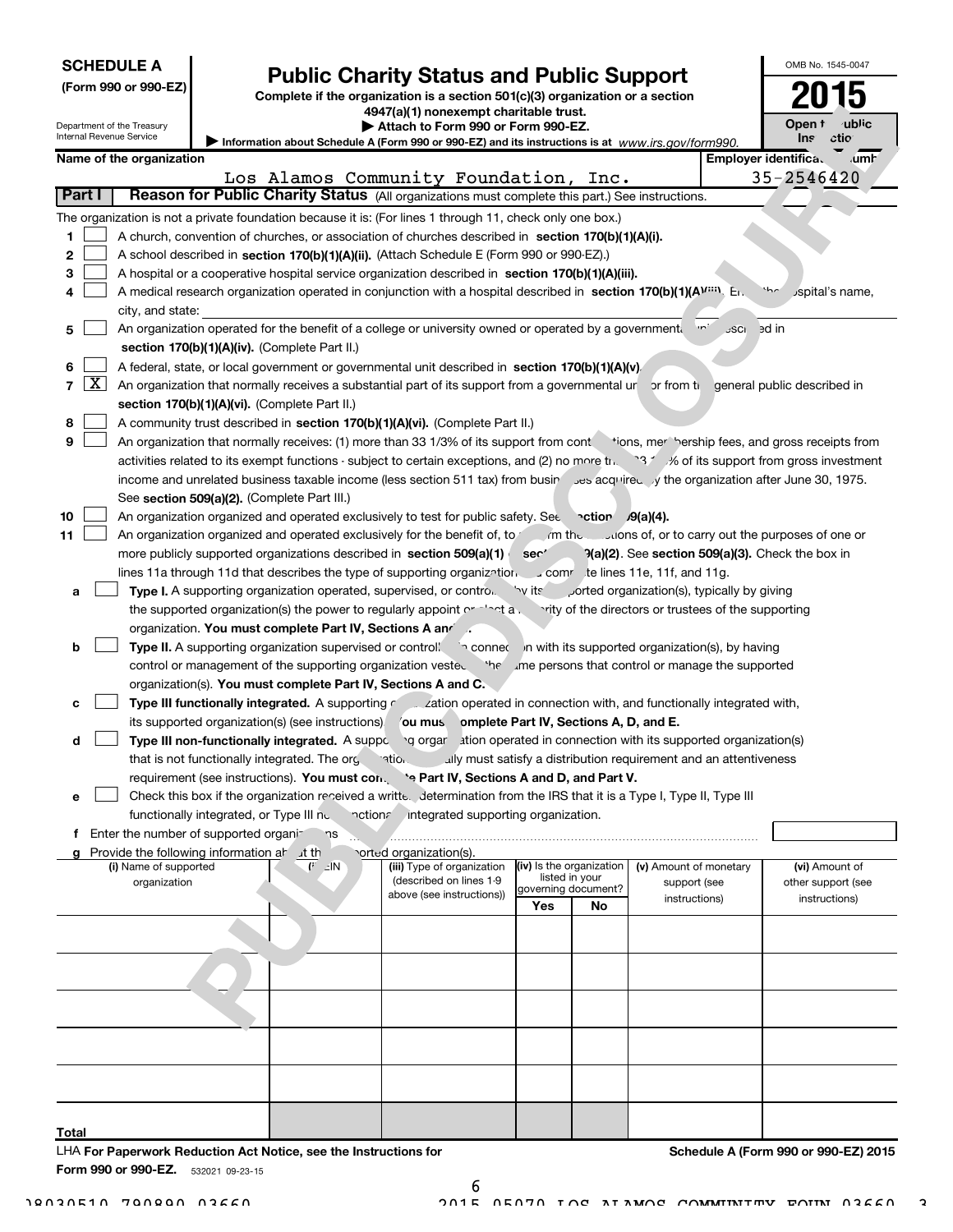|                                                                                                                  |                     | <b>SCHEDULE A</b>                                      |                                                                               |                                                               | <b>Public Charity Status and Public Support</b>                                                                                                                     |                          |                     |                                                                   |             | OMB No. 1545-0047                                             |
|------------------------------------------------------------------------------------------------------------------|---------------------|--------------------------------------------------------|-------------------------------------------------------------------------------|---------------------------------------------------------------|---------------------------------------------------------------------------------------------------------------------------------------------------------------------|--------------------------|---------------------|-------------------------------------------------------------------|-------------|---------------------------------------------------------------|
|                                                                                                                  |                     | (Form 990 or 990-EZ)                                   | Complete if the organization is a section 501(c)(3) organization or a section |                                                               |                                                                                                                                                                     |                          |                     |                                                                   |             |                                                               |
|                                                                                                                  |                     |                                                        |                                                                               |                                                               | 4947(a)(1) nonexempt charitable trust.                                                                                                                              |                          |                     |                                                                   |             | ublic<br>Open t                                               |
|                                                                                                                  |                     | Department of the Treasury<br>Internal Revenue Service |                                                                               |                                                               | Attach to Form 990 or Form 990-EZ.<br>Information about Schedule A (Form 990 or 990-EZ) and its instructions is at www.irs.gov/form990.                             |                          |                     |                                                                   |             | ctio<br><b>Ins</b>                                            |
|                                                                                                                  |                     | Name of the organization                               |                                                                               |                                                               |                                                                                                                                                                     |                          |                     |                                                                   |             | Employer identifica.<br>umr                                   |
|                                                                                                                  |                     |                                                        |                                                                               |                                                               | Los Alamos Community Foundation,                                                                                                                                    |                          | Inc.                |                                                                   |             | 35-2546420                                                    |
| Reason for Public Charity Status (All organizations must complete this part.) See instructions.<br><b>Part I</b> |                     |                                                        |                                                                               |                                                               |                                                                                                                                                                     |                          |                     |                                                                   |             |                                                               |
|                                                                                                                  |                     |                                                        |                                                                               |                                                               | The organization is not a private foundation because it is: (For lines 1 through 11, check only one box.)                                                           |                          |                     |                                                                   |             |                                                               |
| 1                                                                                                                |                     |                                                        |                                                                               |                                                               | A church, convention of churches, or association of churches described in section 170(b)(1)(A)(i).                                                                  |                          |                     |                                                                   |             |                                                               |
| 2                                                                                                                |                     |                                                        |                                                                               |                                                               | A school described in section 170(b)(1)(A)(ii). (Attach Schedule E (Form 990 or 990-EZ).)                                                                           |                          |                     |                                                                   |             |                                                               |
| 3                                                                                                                |                     |                                                        |                                                                               |                                                               | A hospital or a cooperative hospital service organization described in section 170(b)(1)(A)(iii).                                                                   |                          |                     |                                                                   |             |                                                               |
| 4                                                                                                                |                     |                                                        |                                                                               |                                                               | A medical research organization operated in conjunction with a hospital described in section 170(b)(1)(AV <sup>1111</sup> ). En                                     |                          |                     |                                                                   |             | $\sim$<br>Jspital's name,                                     |
|                                                                                                                  |                     | city, and state:                                       |                                                                               |                                                               |                                                                                                                                                                     |                          |                     |                                                                   |             |                                                               |
| 5                                                                                                                |                     |                                                        |                                                                               |                                                               | An organization operated for the benefit of a college or university owned or operated by a government.                                                              |                          |                     |                                                                   | <b>JSCI</b> | ed in                                                         |
|                                                                                                                  |                     |                                                        |                                                                               | section 170(b)(1)(A)(iv). (Complete Part II.)                 |                                                                                                                                                                     |                          |                     |                                                                   |             |                                                               |
| 6                                                                                                                |                     |                                                        |                                                                               |                                                               | A federal, state, or local government or governmental unit described in section 170(b)(1)(A)(v).                                                                    |                          |                     |                                                                   |             |                                                               |
| $\overline{7}$                                                                                                   | $\lfloor x \rfloor$ |                                                        |                                                                               |                                                               | An organization that normally receives a substantial part of its support from a governmental ur or from the                                                         |                          |                     |                                                                   |             | general public described in                                   |
| 8                                                                                                                |                     |                                                        |                                                                               | section 170(b)(1)(A)(vi). (Complete Part II.)                 | A community trust described in section 170(b)(1)(A)(vi). (Complete Part II.)                                                                                        |                          |                     |                                                                   |             |                                                               |
| 9                                                                                                                |                     |                                                        |                                                                               |                                                               | An organization that normally receives: (1) more than 33 1/3% of its support from contrainons, meril bership fees, and gross receipts from                          |                          |                     |                                                                   |             |                                                               |
|                                                                                                                  |                     |                                                        |                                                                               |                                                               | activities related to its exempt functions - subject to certain exceptions, and (2) no more trip 37 33 % of its support from gross investment                       |                          |                     |                                                                   |             |                                                               |
|                                                                                                                  |                     |                                                        |                                                                               |                                                               | income and unrelated business taxable income (less section 511 tax) from busin ses acquired y the organization after June 30, 1975.                                 |                          |                     |                                                                   |             |                                                               |
|                                                                                                                  |                     |                                                        |                                                                               | See section 509(a)(2). (Complete Part III.)                   |                                                                                                                                                                     |                          |                     |                                                                   |             |                                                               |
| 10                                                                                                               |                     |                                                        |                                                                               |                                                               | An organization organized and operated exclusively to test for public safety. Set $\sim$ ction $\sqrt{9(a)(4)}$ .                                                   |                          |                     |                                                                   |             |                                                               |
| 11                                                                                                               |                     |                                                        |                                                                               |                                                               | An organization organized and operated exclusively for the benefit of, to methe conductions of, or to carry out the purposes of one or                              |                          |                     |                                                                   |             |                                                               |
|                                                                                                                  |                     |                                                        |                                                                               |                                                               | more publicly supported organizations described in section 509(a)(1)                                                                                                | ser'                     |                     |                                                                   |             | $\mathcal{P}(a)(2)$ . See section 509(a)(3). Check the box in |
|                                                                                                                  |                     |                                                        |                                                                               |                                                               | lines 11a through 11d that describes the type of supporting organization section of the lines 11a, 11f, and 11g.                                                    |                          |                     |                                                                   |             |                                                               |
| а                                                                                                                |                     |                                                        |                                                                               |                                                               | <b>Type I.</b> A supporting organization operated, supervised, or contro. The its                                                                                   |                          |                     | orted organization(s), typically by giving                        |             |                                                               |
|                                                                                                                  |                     |                                                        |                                                                               |                                                               | the supported organization(s) the power to regularly appoint or " at a vity of the directors or trustees of the supporting                                          |                          |                     |                                                                   |             |                                                               |
|                                                                                                                  |                     |                                                        |                                                                               | organization. You must complete Part IV, Sections A and A     |                                                                                                                                                                     |                          |                     |                                                                   |             |                                                               |
| b                                                                                                                |                     |                                                        |                                                                               |                                                               | Type II. A supporting organization supervised or control $\sim$ conner in with its supported organization(s), by having                                             |                          |                     |                                                                   |             |                                                               |
|                                                                                                                  |                     |                                                        |                                                                               |                                                               | control or management of the supporting organization vested the une persons that control or manage the supported                                                    |                          |                     |                                                                   |             |                                                               |
|                                                                                                                  |                     |                                                        |                                                                               | organization(s). You must complete Part IV, Sections A and C. |                                                                                                                                                                     |                          |                     |                                                                   |             |                                                               |
| c                                                                                                                |                     |                                                        |                                                                               |                                                               | Type III functionally integrated. A supporting $\epsilon$ $\ldots$ zation operated in connection with, and functionally integrated with,                            |                          |                     |                                                                   |             |                                                               |
|                                                                                                                  |                     |                                                        |                                                                               |                                                               | its supported organization(s) (see instructions) <i>(ou mus omplete Part IV, Sections A, D, and E.</i>                                                              |                          |                     |                                                                   |             |                                                               |
| d                                                                                                                |                     |                                                        |                                                                               |                                                               | Type III non-functionally integrated. A suppc and progar ation operated in connection with its supported organization(s)                                            |                          |                     |                                                                   |             |                                                               |
|                                                                                                                  |                     |                                                        |                                                                               | that is not functionally integrated. The org                  | ৰোo <sub>।</sub>                                                                                                                                                    |                          |                     | ally must satisfy a distribution requirement and an attentiveness |             |                                                               |
|                                                                                                                  |                     |                                                        |                                                                               | requirement (see instructions). You must con.                 | Separt IV, Sections A and D, and Part V.<br>Check this box if the organization received a writte. determination from the IRS that it is a Type I, Type II, Type III |                          |                     |                                                                   |             |                                                               |
| е                                                                                                                |                     |                                                        | functionally integrated, or Type III no.                                      | nction                                                        | integrated supporting organization.                                                                                                                                 |                          |                     |                                                                   |             |                                                               |
|                                                                                                                  |                     |                                                        | Enter the number of supported organi-                                         | ns                                                            |                                                                                                                                                                     |                          |                     |                                                                   |             |                                                               |
|                                                                                                                  |                     |                                                        | Provide the following information at th                                       |                                                               | orted organization(s).                                                                                                                                              |                          |                     |                                                                   |             |                                                               |
|                                                                                                                  |                     | (i) Name of supported                                  |                                                                               | $F \sim N$                                                    | (iii) Type of organization                                                                                                                                          | (iv) Is the organization |                     | (v) Amount of monetary                                            |             | (vi) Amount of                                                |
|                                                                                                                  |                     | organization                                           |                                                                               |                                                               | (described on lines 1-9<br>above (see instructions))                                                                                                                | listed in your           | governing document? | support (see                                                      |             | other support (see                                            |
|                                                                                                                  |                     |                                                        |                                                                               |                                                               |                                                                                                                                                                     | Yes                      | No                  | instructions)                                                     |             | instructions)                                                 |
|                                                                                                                  |                     |                                                        |                                                                               |                                                               |                                                                                                                                                                     |                          |                     |                                                                   |             |                                                               |
|                                                                                                                  |                     |                                                        |                                                                               |                                                               |                                                                                                                                                                     |                          |                     |                                                                   |             |                                                               |
|                                                                                                                  |                     |                                                        |                                                                               |                                                               |                                                                                                                                                                     |                          |                     |                                                                   |             |                                                               |
|                                                                                                                  |                     |                                                        |                                                                               |                                                               |                                                                                                                                                                     |                          |                     |                                                                   |             |                                                               |
|                                                                                                                  |                     |                                                        |                                                                               |                                                               |                                                                                                                                                                     |                          |                     |                                                                   |             |                                                               |
|                                                                                                                  |                     |                                                        |                                                                               |                                                               |                                                                                                                                                                     |                          |                     |                                                                   |             |                                                               |

**Total** 

Form 990 or 990-EZ. 532021 09-23-15

LHA For Paperwork Reduction Act Notice, see the Instructions for

6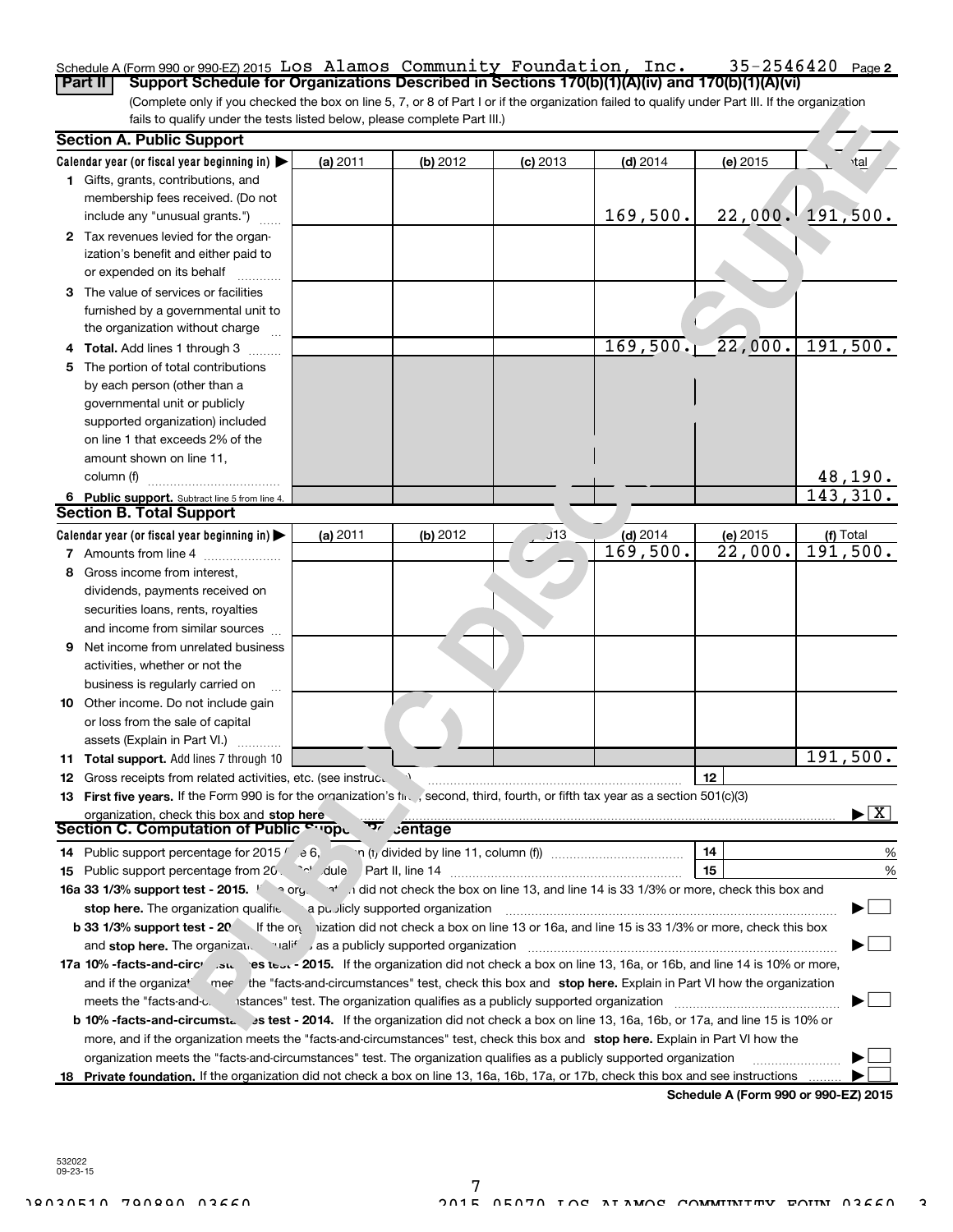#### $35 - 2546420$  Page 2 Schedule A (Form 990 or 990-EZ) 2015 <code>LOS Alamos Community Foundation, lnc.  $35-2546420$  Page</code> Part II | Support Schedule for Organizations Described in Sections 170(b)(1)(A)(iv) and 170(b)(1)(A)(vi) Los Alamos Community Foundation, Inc. 35-2546420

(Complete only if you checked the box on line 5, 7, or 8 of Part I or if the organization failed to qualify under Part III. If the organization fails to qualify under the tests listed below, please complete Part III.)

|    | <b>Section A. Public Support</b>                                                                                                                     |                                                                                 |          |            |                                                                                                               |                        |                            |  |  |
|----|------------------------------------------------------------------------------------------------------------------------------------------------------|---------------------------------------------------------------------------------|----------|------------|---------------------------------------------------------------------------------------------------------------|------------------------|----------------------------|--|--|
|    | Calendar year (or fiscal year beginning in) $\blacktriangleright$                                                                                    | (a) 2011                                                                        | (b) 2012 | $(c)$ 2013 | $(d)$ 2014                                                                                                    | (e) 2015               | <b>tal</b>                 |  |  |
|    | 1 Gifts, grants, contributions, and                                                                                                                  |                                                                                 |          |            |                                                                                                               |                        |                            |  |  |
|    | membership fees received. (Do not                                                                                                                    |                                                                                 |          |            |                                                                                                               |                        |                            |  |  |
|    | include any "unusual grants.")                                                                                                                       |                                                                                 |          |            | 169,500.                                                                                                      | 22,000.                | 191,500.                   |  |  |
|    | 2 Tax revenues levied for the organ-                                                                                                                 |                                                                                 |          |            |                                                                                                               |                        |                            |  |  |
|    | ization's benefit and either paid to                                                                                                                 |                                                                                 |          |            |                                                                                                               |                        |                            |  |  |
|    | or expended on its behalf                                                                                                                            |                                                                                 |          |            |                                                                                                               |                        |                            |  |  |
|    | 3 The value of services or facilities                                                                                                                |                                                                                 |          |            |                                                                                                               |                        |                            |  |  |
|    | furnished by a governmental unit to                                                                                                                  |                                                                                 |          |            |                                                                                                               |                        |                            |  |  |
|    | the organization without charge                                                                                                                      |                                                                                 |          |            |                                                                                                               |                        |                            |  |  |
|    | Total. Add lines 1 through 3                                                                                                                         |                                                                                 |          |            |                                                                                                               | $169, 500.$ $22, 000.$ | 191,500.                   |  |  |
| 5. | The portion of total contributions                                                                                                                   |                                                                                 |          |            |                                                                                                               |                        |                            |  |  |
|    | by each person (other than a                                                                                                                         |                                                                                 |          |            |                                                                                                               |                        |                            |  |  |
|    | governmental unit or publicly                                                                                                                        |                                                                                 |          |            |                                                                                                               |                        |                            |  |  |
|    | supported organization) included                                                                                                                     |                                                                                 |          |            |                                                                                                               |                        |                            |  |  |
|    | on line 1 that exceeds 2% of the                                                                                                                     |                                                                                 |          |            |                                                                                                               |                        |                            |  |  |
|    | amount shown on line 11,                                                                                                                             |                                                                                 |          |            |                                                                                                               |                        |                            |  |  |
|    | column (f)                                                                                                                                           |                                                                                 |          |            |                                                                                                               |                        |                            |  |  |
|    | 6 Public support. Subtract line 5 from line 4.                                                                                                       |                                                                                 |          |            |                                                                                                               |                        | $\frac{48,190.}{143,310.}$ |  |  |
|    | <b>Section B. Total Support</b>                                                                                                                      |                                                                                 |          |            |                                                                                                               |                        |                            |  |  |
|    | Calendar year (or fiscal year beginning in) $\blacktriangleright$                                                                                    | (a) 2011                                                                        | (b) 2012 | J13        | $(d)$ 2014                                                                                                    | (e) 2015               | (f) Total                  |  |  |
|    | <b>7</b> Amounts from line 4                                                                                                                         |                                                                                 |          |            | $\overline{169}$ , 500.                                                                                       | 22,000.                | $\overline{191}$ , 500.    |  |  |
| 8  | Gross income from interest,                                                                                                                          |                                                                                 |          |            |                                                                                                               |                        |                            |  |  |
|    | dividends, payments received on                                                                                                                      |                                                                                 |          |            |                                                                                                               |                        |                            |  |  |
|    | securities loans, rents, royalties                                                                                                                   |                                                                                 |          |            |                                                                                                               |                        |                            |  |  |
|    | and income from similar sources                                                                                                                      |                                                                                 |          |            |                                                                                                               |                        |                            |  |  |
| 9  | Net income from unrelated business                                                                                                                   |                                                                                 |          |            |                                                                                                               |                        |                            |  |  |
|    | activities, whether or not the                                                                                                                       |                                                                                 |          |            |                                                                                                               |                        |                            |  |  |
|    | business is regularly carried on                                                                                                                     |                                                                                 |          |            |                                                                                                               |                        |                            |  |  |
| 10 | Other income. Do not include gain                                                                                                                    |                                                                                 |          |            |                                                                                                               |                        |                            |  |  |
|    | or loss from the sale of capital                                                                                                                     |                                                                                 |          |            |                                                                                                               |                        |                            |  |  |
|    | assets (Explain in Part VI.)                                                                                                                         |                                                                                 |          |            |                                                                                                               |                        |                            |  |  |
|    | 11 Total support. Add lines 7 through 10                                                                                                             |                                                                                 |          |            |                                                                                                               |                        | 191,500.                   |  |  |
| 12 | Gross receipts from related activities, etc. (see instruc.                                                                                           |                                                                                 |          |            |                                                                                                               | 12                     |                            |  |  |
|    | 13 First five years. If the Form 990 is for the organization's fired , second, third, fourth, or fifth tax year as a section 501(c)(3)               |                                                                                 |          |            |                                                                                                               |                        |                            |  |  |
|    | organization, check this box and stop here                                                                                                           |                                                                                 |          |            |                                                                                                               |                        | -   X                      |  |  |
|    | Section C. Computation of Public Cuppu                                                                                                               |                                                                                 | entage   |            |                                                                                                               |                        |                            |  |  |
|    | <b>14</b> Public support percentage for 2015 $\ell$ e 6,                                                                                             |                                                                                 |          |            |                                                                                                               | 14                     | %                          |  |  |
|    |                                                                                                                                                      |                                                                                 |          |            |                                                                                                               | 15                     | %                          |  |  |
|    | 16a 33 1/3% support test - 2015. 1 a org. at indid not check the box on line 13, and line 14 is 33 1/3% or more, check this box and                  |                                                                                 |          |            |                                                                                                               |                        |                            |  |  |
|    | stop here. The organization qualifie a publicly supported organization                                                                               |                                                                                 |          |            |                                                                                                               |                        |                            |  |  |
|    | b 33 1/3% support test - 20 If the ory ization did not check a box on line 13 or 16a, and line 15 is 33 1/3% or more, check this box                 |                                                                                 |          |            |                                                                                                               |                        |                            |  |  |
|    | as a publicly supported organization and <b>stop here.</b> The organization                                                                          |                                                                                 |          |            |                                                                                                               |                        |                            |  |  |
|    | 17a 10% -facts-and-circ <sup>,</sup> su es test - 2015. If the organization did not check a box on line 13, 16a, or 16b, and line 14 is 10% or more, |                                                                                 |          |            |                                                                                                               |                        |                            |  |  |
|    | and if the organiza <sup>+</sup>                                                                                                                     |                                                                                 |          |            | mer the "facts-and-circumstances" test, check this box and stop here. Explain in Part VI how the organization |                        |                            |  |  |
|    | meets the "facts-and-c.                                                                                                                              | istances" test. The organization qualifies as a publicly supported organization |          |            |                                                                                                               |                        |                            |  |  |
|    | b 10% -facts-and-circumst. 3s test - 2014. If the organization did not check a box on line 13, 16a, 16b, or 17a, and line 15 is 10% or               |                                                                                 |          |            |                                                                                                               |                        |                            |  |  |
|    | more, and if the organization meets the "facts-and-circumstances" test, check this box and stop here. Explain in Part VI how the                     |                                                                                 |          |            |                                                                                                               |                        |                            |  |  |
|    | organization meets the "facts-and-circumstances" test. The organization qualifies as a publicly supported organization                               |                                                                                 |          |            |                                                                                                               |                        |                            |  |  |
|    | 18 Private foundation. If the organization did not check a box on line 13, 16a, 16b, 17a, or 17b, check this box and see instructions                |                                                                                 |          |            |                                                                                                               |                        |                            |  |  |

Schedule A (Form 990 or 990-EZ) 2015

532022 09-23-15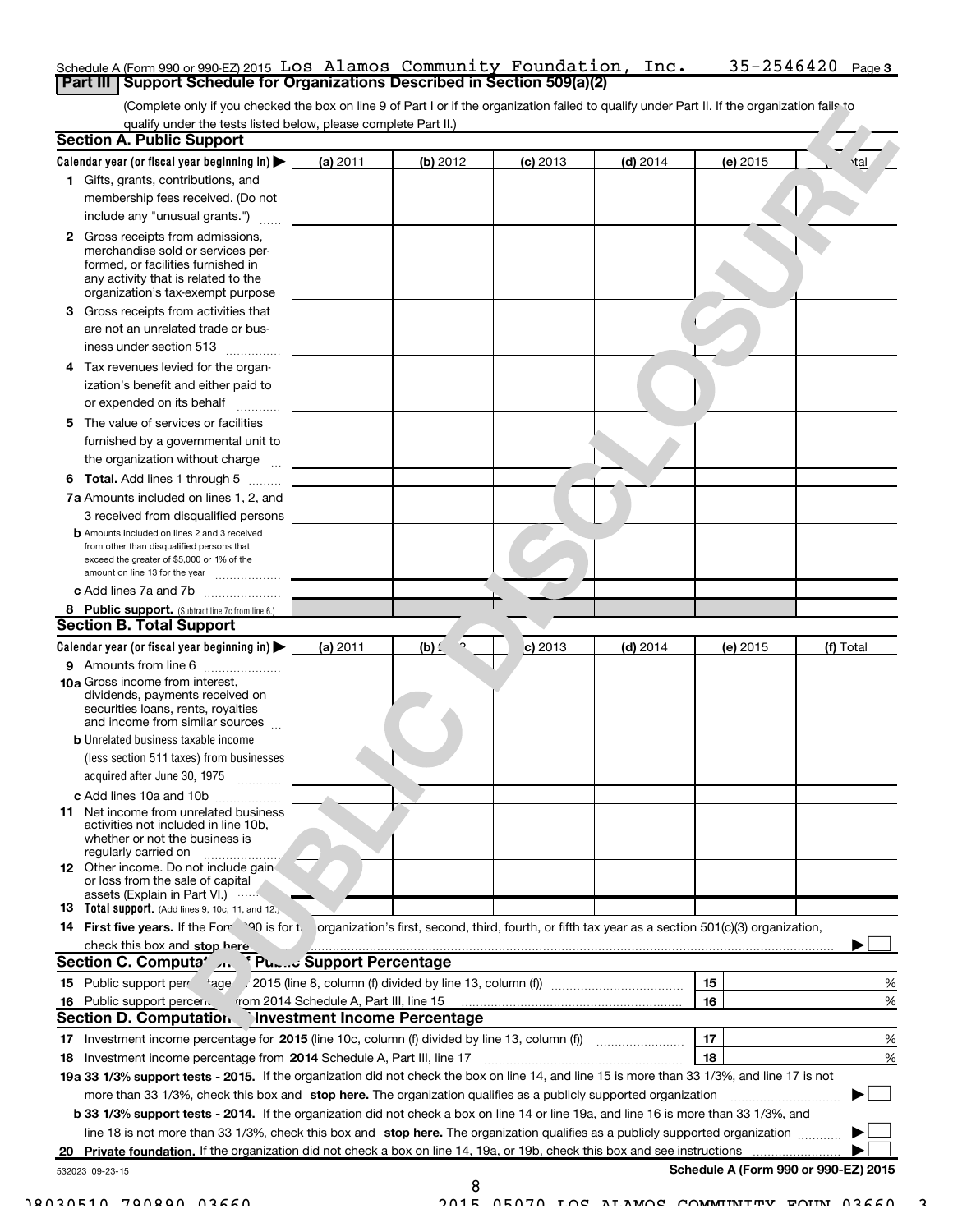#### Schedule A (Form 990 or 990-EZ) 2015 <code>LOS Alamos Community Foundation, lnc.  $35-2546420$  Page</code> Part III | Support Schedule for Organizations Described in Section 509(a)(2) Los Alamos Community Foundation, Inc. 35-2546420

(Complete only if you checked the box on line 9 of Part I or if the organization failed to qualify under Part II. If the organization fails toqualify under the tests listed below, please complete Part II.)

|    | <b>Section A. Public Support</b>                                                                                                                                                                |                                         |           |            |                                                                                                     |          |                                      |
|----|-------------------------------------------------------------------------------------------------------------------------------------------------------------------------------------------------|-----------------------------------------|-----------|------------|-----------------------------------------------------------------------------------------------------|----------|--------------------------------------|
|    | Calendar year (or fiscal year beginning in) $\blacktriangleright$                                                                                                                               | (a) 2011                                | (b) 2012  | $(c)$ 2013 | $(d)$ 2014                                                                                          | (e) 2015 | <b>tal</b>                           |
|    | 1 Gifts, grants, contributions, and                                                                                                                                                             |                                         |           |            |                                                                                                     |          |                                      |
|    | membership fees received. (Do not                                                                                                                                                               |                                         |           |            |                                                                                                     |          |                                      |
|    | include any "unusual grants.")                                                                                                                                                                  |                                         |           |            |                                                                                                     |          |                                      |
|    | <b>2</b> Gross receipts from admissions,<br>merchandise sold or services per-<br>formed, or facilities furnished in<br>any activity that is related to the<br>organization's tax-exempt purpose |                                         |           |            |                                                                                                     |          |                                      |
|    | 3 Gross receipts from activities that                                                                                                                                                           |                                         |           |            |                                                                                                     |          |                                      |
|    | are not an unrelated trade or bus-<br>iness under section 513                                                                                                                                   |                                         |           |            |                                                                                                     |          |                                      |
| 4  | Tax revenues levied for the organ-                                                                                                                                                              |                                         |           |            |                                                                                                     |          |                                      |
|    | ization's benefit and either paid to<br>or expended on its behalf                                                                                                                               |                                         |           |            |                                                                                                     |          |                                      |
|    | 5 The value of services or facilities                                                                                                                                                           |                                         |           |            |                                                                                                     |          |                                      |
|    | furnished by a governmental unit to<br>the organization without charge                                                                                                                          |                                         |           |            |                                                                                                     |          |                                      |
|    | <b>6 Total.</b> Add lines 1 through 5                                                                                                                                                           |                                         |           |            |                                                                                                     |          |                                      |
|    | 7a Amounts included on lines 1, 2, and                                                                                                                                                          |                                         |           |            |                                                                                                     |          |                                      |
|    | 3 received from disqualified persons                                                                                                                                                            |                                         |           |            |                                                                                                     |          |                                      |
|    | <b>b</b> Amounts included on lines 2 and 3 received<br>from other than disqualified persons that<br>exceed the greater of \$5,000 or 1% of the<br>amount on line 13 for the year                |                                         |           |            |                                                                                                     |          |                                      |
|    | c Add lines 7a and 7b                                                                                                                                                                           |                                         |           |            |                                                                                                     |          |                                      |
|    | 8 Public support. (Subtract line 7c from line 6.)                                                                                                                                               |                                         |           |            |                                                                                                     |          |                                      |
|    | <b>Section B. Total Support</b>                                                                                                                                                                 |                                         |           |            |                                                                                                     |          |                                      |
|    | Calendar year (or fiscal year beginning in)                                                                                                                                                     | (a) 2011                                | $(b)$ $($ | c) 2013    | $(d)$ 2014                                                                                          | (e) 2015 | (f) Total                            |
|    | 9 Amounts from line 6                                                                                                                                                                           |                                         |           |            |                                                                                                     |          |                                      |
|    | <b>10a</b> Gross income from interest,<br>dividends, payments received on<br>securities loans, rents, royalties<br>and income from similar sources                                              |                                         |           |            |                                                                                                     |          |                                      |
|    | <b>b</b> Unrelated business taxable income                                                                                                                                                      |                                         |           |            |                                                                                                     |          |                                      |
|    | (less section 511 taxes) from businesses<br>acquired after June 30, 1975                                                                                                                        |                                         |           |            |                                                                                                     |          |                                      |
|    | c Add lines 10a and 10b                                                                                                                                                                         |                                         |           |            |                                                                                                     |          |                                      |
|    | <b>11</b> Net income from unrelated business<br>activities not included in line 10b,<br>whether or not the business is<br>regularly carried on                                                  |                                         |           |            |                                                                                                     |          |                                      |
|    | <b>12</b> Other income. Do not include gain<br>or loss from the sale of capital<br>assets (Explain in Part VI.)                                                                                 |                                         |           |            |                                                                                                     |          |                                      |
|    | 13 Total support. (Add lines 9, 10c, 11, and 12.)                                                                                                                                               |                                         |           |            |                                                                                                     |          |                                      |
|    | 14 First five years. If the Form 30 is for the                                                                                                                                                  |                                         |           |            | organization's first, second, third, fourth, or fifth tax year as a section 501(c)(3) organization, |          |                                      |
|    | check this box and stop here                                                                                                                                                                    |                                         |           |            |                                                                                                     |          |                                      |
|    | Section C. Computa' And                                                                                                                                                                         | <b>Pu.m. Support Percentage</b>         |           |            |                                                                                                     |          |                                      |
|    |                                                                                                                                                                                                 |                                         |           |            |                                                                                                     | 15       | %                                    |
|    | 16 Public support percen.                                                                                                                                                                       | from 2014 Schedule A, Part III, line 15 |           |            |                                                                                                     | 16       | %                                    |
|    | Section D. Computation.                                                                                                                                                                         | <b>Investment Income Percentage</b>     |           |            |                                                                                                     |          |                                      |
|    | 17 Investment income percentage for 2015 (line 10c, column (f) divided by line 13, column (f))                                                                                                  |                                         |           |            |                                                                                                     | 17       | %                                    |
|    | 18 Investment income percentage from 2014 Schedule A, Part III, line 17                                                                                                                         |                                         |           |            |                                                                                                     | 18       | %                                    |
|    | 19a 33 1/3% support tests - 2015. If the organization did not check the box on line 14, and line 15 is more than 33 1/3%, and line 17 is not                                                    |                                         |           |            |                                                                                                     |          |                                      |
|    | more than 33 1/3%, check this box and stop here. The organization qualifies as a publicly supported organization                                                                                |                                         |           |            |                                                                                                     |          |                                      |
|    | b 33 1/3% support tests - 2014. If the organization did not check a box on line 14 or line 19a, and line 16 is more than 33 1/3%, and                                                           |                                         |           |            |                                                                                                     |          |                                      |
|    | line 18 is not more than 33 1/3%, check this box and stop here. The organization qualifies as a publicly supported organization                                                                 |                                         |           |            |                                                                                                     |          |                                      |
| 20 | Private foundation. If the organization did not check a box on line 14, 19a, or 19b, check this box and see instructions                                                                        |                                         |           |            |                                                                                                     |          |                                      |
|    | 532023 09-23-15                                                                                                                                                                                 |                                         |           |            |                                                                                                     |          | Schedule A (Form 990 or 990-EZ) 2015 |

8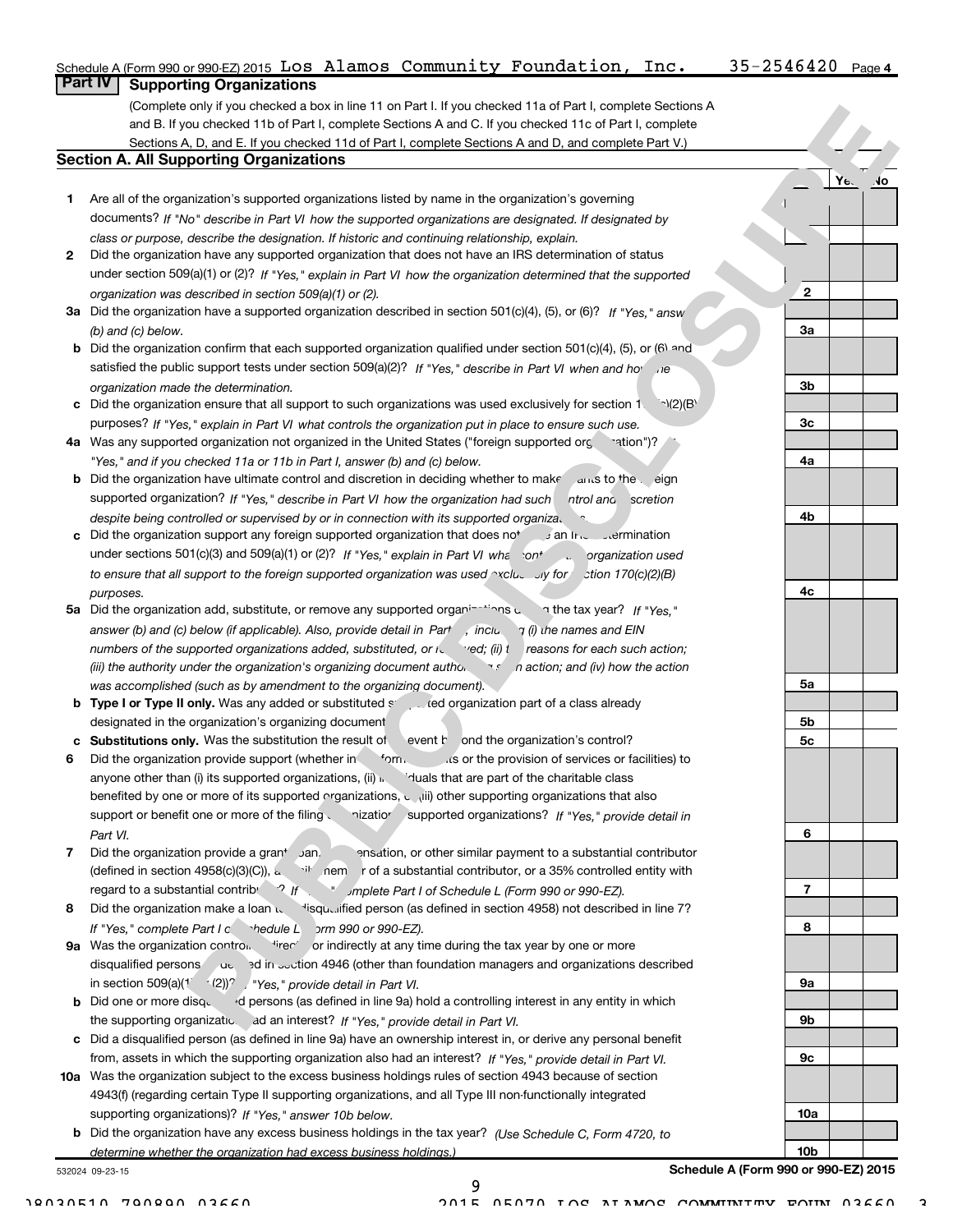|   | Schedule A (Form 990 or 990 EZ) 2015 LOS Alamos Community Foundation, Inc.                                                                                                                                             | $35 - 2546420$  | Page 4                |
|---|------------------------------------------------------------------------------------------------------------------------------------------------------------------------------------------------------------------------|-----------------|-----------------------|
|   | <b>Part IV</b><br><b>Supporting Organizations</b>                                                                                                                                                                      |                 |                       |
|   | (Complete only if you checked a box in line 11 on Part I. If you checked 11a of Part I, complete Sections A                                                                                                            |                 |                       |
|   | and B. If you checked 11b of Part I, complete Sections A and C. If you checked 11c of Part I, complete                                                                                                                 |                 |                       |
|   | Sections A, D, and E. If you checked 11d of Part I, complete Sections A and D, and complete Part V.)                                                                                                                   |                 |                       |
|   | <b>Section A. All Supporting Organizations</b>                                                                                                                                                                         |                 |                       |
|   |                                                                                                                                                                                                                        |                 | $Y_{\epsilon}$<br>.Jo |
| 1 | Are all of the organization's supported organizations listed by name in the organization's governing                                                                                                                   |                 |                       |
|   | documents? If "No" describe in Part VI how the supported organizations are designated. If designated by                                                                                                                |                 |                       |
|   | class or purpose, describe the designation. If historic and continuing relationship, explain.                                                                                                                          |                 |                       |
| 2 | Did the organization have any supported organization that does not have an IRS determination of status                                                                                                                 |                 |                       |
|   | under section 509(a)(1) or (2)? If "Yes," explain in Part VI how the organization determined that the supported                                                                                                        | $\mathbf{2}$    |                       |
|   | organization was described in section 509(a)(1) or (2).<br>3a Did the organization have a supported organization described in section 501(c)(4), (5), or (6)? If "Yes," answ                                           |                 |                       |
|   | (b) and (c) below.                                                                                                                                                                                                     | 3a              |                       |
|   | <b>b</b> Did the organization confirm that each supported organization qualified under section 501(c)(4), (5), or (6) and                                                                                              |                 |                       |
|   | satisfied the public support tests under section 509(a)(2)? If "Yes," describe in Part VI when and ho                                                                                                                  |                 |                       |
|   | organization made the determination.                                                                                                                                                                                   | 3b              |                       |
|   | c Did the organization ensure that all support to such organizations was used exclusively for section 1. $\rightarrow$ 1(2)(B)                                                                                         |                 |                       |
|   | purposes? If "Yes," explain in Part VI what controls the organization put in place to ensure such use.                                                                                                                 | 3 <sub>c</sub>  |                       |
|   | 4a Was any supported organization not organized in the United States ("foreign supported org<br>eration")?                                                                                                             |                 |                       |
|   | "Yes," and if you checked 11a or 11b in Part I, answer (b) and (c) below.                                                                                                                                              | 4a              |                       |
|   | <b>b</b> Did the organization have ultimate control and discretion in deciding whether to make and to the eign                                                                                                         |                 |                       |
|   | supported organization? If "Yes," describe in Part VI how the organization had such<br>ntrol and scretion                                                                                                              |                 |                       |
|   | despite being controlled or supervised by or in connection with its supported organiza.                                                                                                                                | 4b              |                       |
|   | c Did the organization support any foreign supported organization that does not and her support any foreign supported organization that does not                                                                       |                 |                       |
|   | under sections 501(c)(3) and 509(a)(1) or (2)? If "Yes," explain in Part VI what cont contraction used                                                                                                                 |                 |                       |
|   | to ensure that all support to the foreign supported organization was used $\sim$ cluessing for $\sim$ tion 170(c)(2)(B)                                                                                                |                 |                       |
|   | purposes.                                                                                                                                                                                                              | 4c              |                       |
|   | 5a Did the organization add, substitute, or remove any supported organinalized and the tax year? If "Yes."                                                                                                             |                 |                       |
|   | answer (b) and (c) below (if applicable). Also, provide detail in Part , inclu, $\eta$ (i) the names and EIN                                                                                                           |                 |                       |
|   | numbers of the supported organizations added, substituted, or it yed; (ii) t reasons for each such action;                                                                                                             |                 |                       |
|   | (iii) the authority under the organization's organizing document author the nation; and (iv) how the action                                                                                                            | 5a              |                       |
|   | was accomplished (such as by amendment to the organizing document).<br><b>b</b> Type I or Type II only. Was any added or substituted state organization part of a class already                                        |                 |                       |
|   | designated in the organization's organizing document                                                                                                                                                                   | 5b              |                       |
|   | c Substitutions only. Was the substitution the result of<br>event r ond the organization's control?                                                                                                                    | 5 <sub>c</sub>  |                       |
|   | Did the organization provide support (whether in form,<br>is or the provision of services or facilities) to                                                                                                            |                 |                       |
|   | anyone other than (i) its supported organizations, (ii) $\mu$ iduals that are part of the charitable class                                                                                                             |                 |                       |
|   | benefited by one or more of its supported organizations, could other supporting organizations that also                                                                                                                |                 |                       |
|   | support or benefit one or more of the filing<br>nizatior<br>supported organizations? If "Yes," provide detail in                                                                                                       |                 |                       |
|   | Part VI.                                                                                                                                                                                                               | 6               |                       |
| 7 | Did the organization provide a grant Jan.<br>ensation, or other similar payment to a substantial contributor                                                                                                           |                 |                       |
|   | (defined in section 4958(c)(3)(C)), a inem r of a substantial contributor, or a 35% controlled entity with                                                                                                             |                 |                       |
|   | regard to a substantial contribution of the art of Schedule L (Form 990 or 990-EZ).                                                                                                                                    | 7               |                       |
| 8 | Did the organization make a loan to visqualified person (as defined in section 4958) not described in line 7?                                                                                                          |                 |                       |
|   | If "Yes," complete Part I c hedule L 5rm 990 or 990-EZ).                                                                                                                                                               | 8               |                       |
|   | 9a Was the organization control. Fire or indirectly at any time during the tax year by one or more                                                                                                                     |                 |                       |
|   | disqualified persons at a 3d in section 4946 (other than foundation managers and organizations described                                                                                                               |                 |                       |
|   | in section 509(a)(1 $(2)$ )? $/$ "Yes," provide detail in Part VI.                                                                                                                                                     | 9a              |                       |
|   | <b>b</b> Did one or more disquest of persons (as defined in line 9a) hold a controlling interest in any entity in which                                                                                                |                 |                       |
|   | the supporting organizatio. ad an interest? If "Yes," provide detail in Part VI.                                                                                                                                       | 9b              |                       |
|   | c Did a disqualified person (as defined in line 9a) have an ownership interest in, or derive any personal benefit                                                                                                      |                 |                       |
|   | from, assets in which the supporting organization also had an interest? If "Yes," provide detail in Part VI.                                                                                                           | 9с              |                       |
|   | 10a Was the organization subject to the excess business holdings rules of section 4943 because of section<br>4943(f) (regarding certain Type II supporting organizations, and all Type III non-functionally integrated |                 |                       |
|   | supporting organizations)? If "Yes," answer 10b below.                                                                                                                                                                 | 10a             |                       |
|   | <b>b</b> Did the organization have any excess business holdings in the tax year? (Use Schedule C, Form 4720, to                                                                                                        |                 |                       |
|   | determine whether the organization had excess business holdings.)                                                                                                                                                      | 10 <sub>b</sub> |                       |

determine whether the organization had excess business holdings.)

532024 09-23-15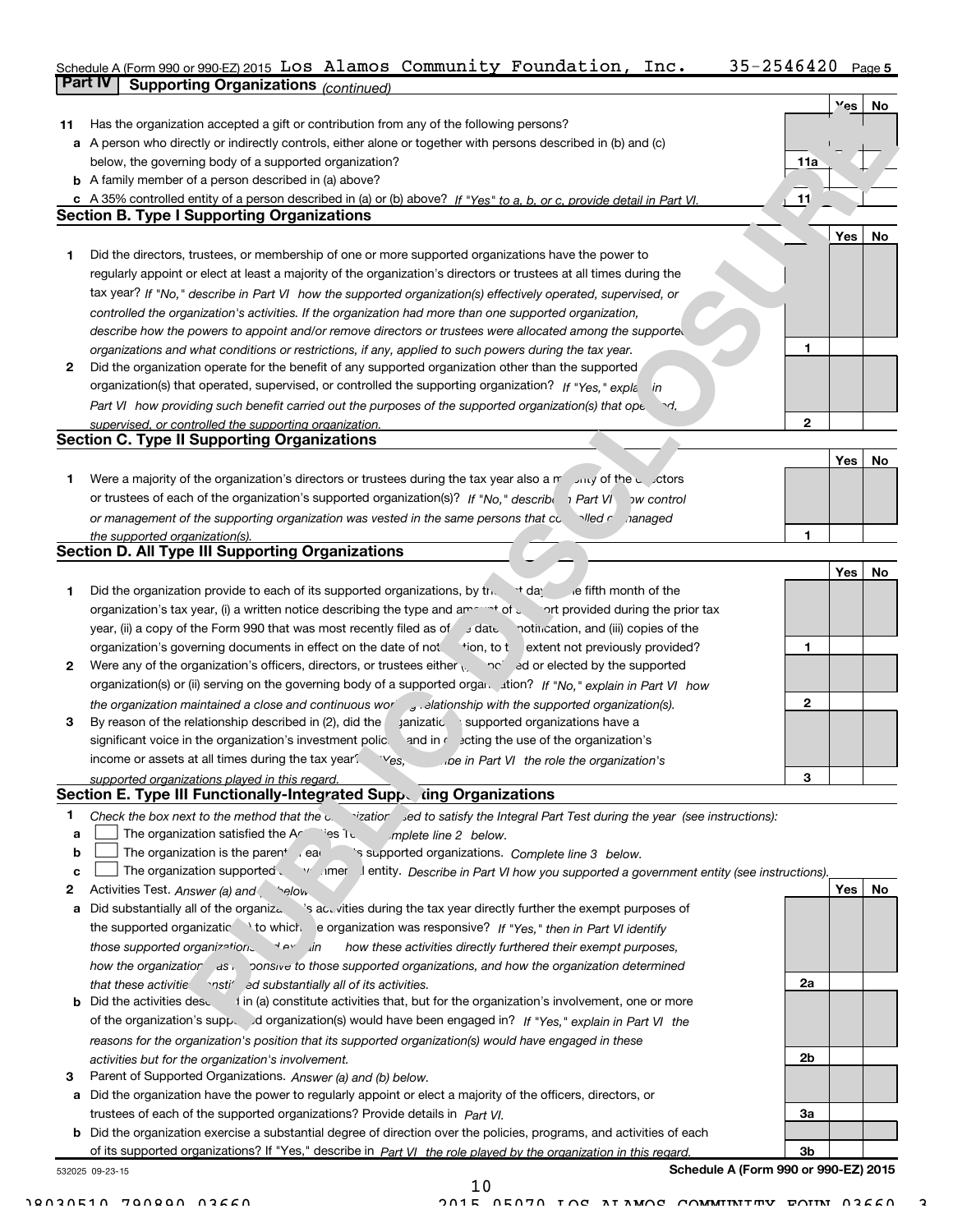| Schedule A (Form 990 or 990-EZ) 2015 $\,$ LOS $\,$ Alamos $\,$ Community $\,$ Foundation , $\,$ Inc $\,$ . |  |  | $35 - 2546420$ Page 5 |  |
|------------------------------------------------------------------------------------------------------------|--|--|-----------------------|--|
| <b>Part IV   Supporting Organizations (continued)</b>                                                      |  |  |                       |  |

|    | supporung Organizations (continued)                                                                                                                                                                                       |                |     |    |
|----|---------------------------------------------------------------------------------------------------------------------------------------------------------------------------------------------------------------------------|----------------|-----|----|
|    |                                                                                                                                                                                                                           |                | Yes | No |
| 11 | Has the organization accepted a gift or contribution from any of the following persons?                                                                                                                                   |                |     |    |
|    | a A person who directly or indirectly controls, either alone or together with persons described in (b) and (c)                                                                                                            |                |     |    |
|    | below, the governing body of a supported organization?                                                                                                                                                                    | 11a            |     |    |
|    | <b>b</b> A family member of a person described in (a) above?                                                                                                                                                              |                |     |    |
|    | c A 35% controlled entity of a person described in (a) or (b) above? If "Yes" to a, b, or c, provide detail in Part VI.                                                                                                   | 11             |     |    |
|    | <b>Section B. Type I Supporting Organizations</b>                                                                                                                                                                         |                |     |    |
|    |                                                                                                                                                                                                                           |                | Yes | No |
| 1  | Did the directors, trustees, or membership of one or more supported organizations have the power to                                                                                                                       |                |     |    |
|    | regularly appoint or elect at least a majority of the organization's directors or trustees at all times during the                                                                                                        |                |     |    |
|    | tax year? If "No," describe in Part VI how the supported organization(s) effectively operated, supervised, or                                                                                                             |                |     |    |
|    | controlled the organization's activities. If the organization had more than one supported organization,                                                                                                                   |                |     |    |
|    | describe how the powers to appoint and/or remove directors or trustees were allocated among the supported                                                                                                                 |                |     |    |
|    | organizations and what conditions or restrictions, if any, applied to such powers during the tax year.                                                                                                                    | 1              |     |    |
| 2  | Did the organization operate for the benefit of any supported organization other than the supported                                                                                                                       |                |     |    |
|    | organization(s) that operated, supervised, or controlled the supporting organization? If "Yes," explain                                                                                                                   |                |     |    |
|    | Part VI how providing such benefit carried out the purposes of the supported organization(s) that ope.<br>৲≁.                                                                                                             |                |     |    |
|    | supervised, or controlled the supporting organization.                                                                                                                                                                    | $\overline{2}$ |     |    |
|    | <b>Section C. Type II Supporting Organizations</b>                                                                                                                                                                        |                |     |    |
|    |                                                                                                                                                                                                                           |                | Yes | No |
| 1  | Were a majority of the organization's directors or trustees during the tax year also a $r^2$ July of the unit of the degree of                                                                                            |                |     |    |
|    | or trustees of each of the organization's supported organization(s)? If "No," describing Part VI<br><b>DW</b> control                                                                                                     |                |     |    |
|    | or management of the supporting organization was vested in the same persons that controlled r<br>nanaged                                                                                                                  |                |     |    |
|    | the supported organization(s).<br><b>Section D. All Type III Supporting Organizations</b>                                                                                                                                 | 1              |     |    |
|    |                                                                                                                                                                                                                           |                | Yes | No |
| 1  | Did the organization provide to each of its supported organizations, by the $\cdot$ + day e fifth month of the                                                                                                            |                |     |    |
|    | organization's tax year, (i) a written notice describing the type and am $\rightarrow$ of $\epsilon$<br>ort provided during the prior tax                                                                                 |                |     |    |
|    | year, (ii) a copy of the Form 990 that was most recently filed as of state notincation, and (iii) copies of the                                                                                                           |                |     |    |
|    | organization's governing documents in effect on the date of not tion, to textent not previously provided?                                                                                                                 | 1              |     |    |
| 2  | Were any of the organization's officers, directors, or trustees either $\sqrt{2}$ and $\sqrt{2}$ ed or elected by the supported                                                                                           |                |     |    |
|    |                                                                                                                                                                                                                           |                |     |    |
|    |                                                                                                                                                                                                                           | 2              |     |    |
| 3  | the organization maintained a close and continuous wor<br>elationship with the supported organization(s).<br>By reason of the relationship described in (2), did the<br><b>anizatic</b><br>supported organizations have a |                |     |    |
|    | and in r scting the use of the organization's<br>significant voice in the organization's investment polic.                                                                                                                |                |     |    |
|    | income or assets at all times during the tax year?                                                                                                                                                                        |                |     |    |
|    | Ves,<br>be in Part VI the role the organization's                                                                                                                                                                         | З              |     |    |
|    | supported organizations played in this regard.<br>Section E. Type III Functionally-Integrated Supp. ding Organizations                                                                                                    |                |     |    |
| 1  |                                                                                                                                                                                                                           |                |     |    |
| a  | Check the box next to the method that the contraction sed to satisfy the Integral Part Test during the year (see instructions):<br>The organization satisfied the Ar<br>ਂes ੀ ਹ<br>mplete line 2 below.                   |                |     |    |
| b  | The organization is the parent car<br>`s supported organizations. Complete line 3 below.                                                                                                                                  |                |     |    |
| c  | The organization supported vielding entity. Describe in Part VI how you supported a government entity (see instructions).                                                                                                 |                |     |    |
| 2  | Activities Test. Answer (a) and selow.                                                                                                                                                                                    |                | Yes | No |
| а  | Did substantially all of the organiza<br>'s activities during the tax year directly further the exempt purposes of                                                                                                        |                |     |    |
|    | the supported organizatic \to which e organization was responsive? If "Yes," then in Part VI identify                                                                                                                     |                |     |    |
|    | those supported organizations<br>how these activities directly furthered their exempt purposes,<br>__ <i>in</i>                                                                                                           |                |     |    |
|    | how the organizatior as verticle to those supported organizations, and how the organization determined                                                                                                                    |                |     |    |
|    | `nsti' ed substantially all of its activities.<br>that these activitie                                                                                                                                                    | 2a             |     |    |
| b  | I in (a) constitute activities that, but for the organization's involvement, one or more<br>Did the activities desu                                                                                                       |                |     |    |
|    | of the organization's supper differential organization(s) would have been engaged in? If "Yes," explain in Part VI the                                                                                                    |                |     |    |
|    | reasons for the organization's position that its supported organization(s) would have engaged in these                                                                                                                    |                |     |    |
|    | activities but for the organization's involvement.                                                                                                                                                                        | 2b             |     |    |
|    |                                                                                                                                                                                                                           |                |     |    |

3 Parent of Supported Organizations. Answer (a) and (b) below.

a Did the organization have the power to regularly appoint or elect a majority of the officers, directors, or trustees of each of the supported organizations? Provide details in Part VI.

b Did the organization exercise a substantial degree of direction over the policies, programs, and activities of eachof its supported organizations? If "Yes," describe in Part VI the role played by the organization in this regard.

532025 09-23-15

Schedule A (Form 990 or 990-EZ) 2015

3a

3b

10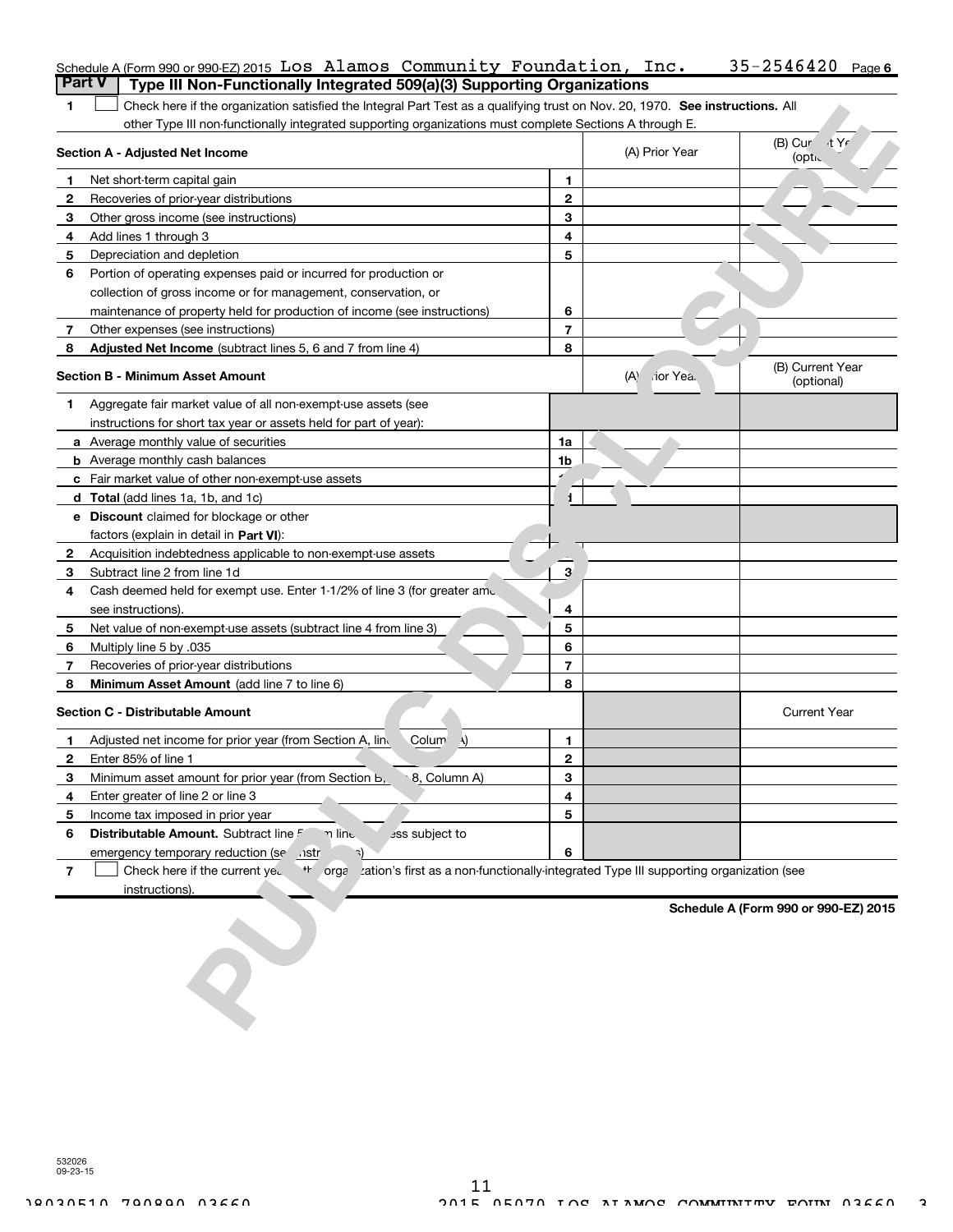|                | Schedule A (Form 990 or 990-EZ) 2015 LOS Alamos Community Foundation, Inc.                                                    |                |                  | 35-2546420<br>Page 6           |  |  |  |  |
|----------------|-------------------------------------------------------------------------------------------------------------------------------|----------------|------------------|--------------------------------|--|--|--|--|
|                | <b>Part V</b><br>Type III Non-Functionally Integrated 509(a)(3) Supporting Organizations                                      |                |                  |                                |  |  |  |  |
| 1.             | Check here if the organization satisfied the Integral Part Test as a qualifying trust on Nov. 20, 1970. See instructions. All |                |                  |                                |  |  |  |  |
|                | other Type III non-functionally integrated supporting organizations must complete Sections A through E.                       |                |                  |                                |  |  |  |  |
|                | <b>Section A - Adjusted Net Income</b>                                                                                        |                | (A) Prior Year   | (B) Cur<br>√t Yr<br>(optic     |  |  |  |  |
| 1              | Net short-term capital gain                                                                                                   | 1              |                  |                                |  |  |  |  |
| 2              | Recoveries of prior-year distributions                                                                                        | $\overline{2}$ |                  |                                |  |  |  |  |
| 3              | Other gross income (see instructions)                                                                                         | 3              |                  |                                |  |  |  |  |
| 4              | Add lines 1 through 3                                                                                                         | 4              |                  |                                |  |  |  |  |
| 5              | Depreciation and depletion                                                                                                    | 5              |                  |                                |  |  |  |  |
| 6              | Portion of operating expenses paid or incurred for production or                                                              |                |                  |                                |  |  |  |  |
|                | collection of gross income or for management, conservation, or                                                                |                |                  |                                |  |  |  |  |
|                | maintenance of property held for production of income (see instructions)                                                      | 6              |                  |                                |  |  |  |  |
| 7              | Other expenses (see instructions)                                                                                             | $\overline{7}$ |                  |                                |  |  |  |  |
| 8              | Adjusted Net Income (subtract lines 5, 6 and 7 from line 4)                                                                   | 8              |                  |                                |  |  |  |  |
|                | <b>Section B - Minimum Asset Amount</b>                                                                                       |                | (A)<br>rior Yea. | (B) Current Year<br>(optional) |  |  |  |  |
| 1              | Aggregate fair market value of all non-exempt-use assets (see                                                                 |                |                  |                                |  |  |  |  |
|                | instructions for short tax year or assets held for part of year):                                                             |                |                  |                                |  |  |  |  |
|                | <b>a</b> Average monthly value of securities                                                                                  | 1a             |                  |                                |  |  |  |  |
|                | <b>b</b> Average monthly cash balances                                                                                        | 1b             |                  |                                |  |  |  |  |
|                | c Fair market value of other non-exempt-use assets                                                                            |                |                  |                                |  |  |  |  |
|                | d Total (add lines 1a, 1b, and 1c)                                                                                            | 1.             |                  |                                |  |  |  |  |
|                | <b>e</b> Discount claimed for blockage or other                                                                               |                |                  |                                |  |  |  |  |
|                | factors (explain in detail in <b>Part VI</b> ):                                                                               |                |                  |                                |  |  |  |  |
| 2              | Acquisition indebtedness applicable to non-exempt-use assets                                                                  |                |                  |                                |  |  |  |  |
| 3              | Subtract line 2 from line 1d                                                                                                  | 3              |                  |                                |  |  |  |  |
| 4              | Cash deemed held for exempt use. Enter 1-1/2% of line 3 (for greater amo.                                                     |                |                  |                                |  |  |  |  |
|                | see instructions).                                                                                                            | 4              |                  |                                |  |  |  |  |
| 5              | Net value of non-exempt-use assets (subtract line 4 from line 3)                                                              | 5              |                  |                                |  |  |  |  |
| 6              | Multiply line 5 by .035                                                                                                       | 6              |                  |                                |  |  |  |  |
| $\overline{7}$ | Recoveries of prior-year distributions                                                                                        | $\overline{7}$ |                  |                                |  |  |  |  |
| 8              | Minimum Asset Amount (add line 7 to line 6)                                                                                   | 8              |                  |                                |  |  |  |  |
|                | <b>Section C - Distributable Amount</b>                                                                                       |                |                  | <b>Current Year</b>            |  |  |  |  |
| 1.             | Adjusted net income for prior year (from Section A, lind<br>Colum<br>$\lambda$                                                | $\mathbf{1}$   |                  |                                |  |  |  |  |
| $\mathbf{2}$   | Enter 85% of line 1                                                                                                           | $\overline{2}$ |                  |                                |  |  |  |  |
| 3              | Minimum asset amount for prior year (from Section b,<br>8, Column A)                                                          | З              |                  |                                |  |  |  |  |
| 4              | Enter greater of line 2 or line 3                                                                                             | 4              |                  |                                |  |  |  |  |
| 5              | Income tax imposed in prior year                                                                                              | 5              |                  |                                |  |  |  |  |
| 6              | Distributable Amount. Subtract line F<br>n line.<br>ass subject to                                                            |                |                  |                                |  |  |  |  |
|                | emergency temporary reduction (se nstr<br>٦)                                                                                  | 6              |                  |                                |  |  |  |  |

7 Check here if the current yed the organization's first as a non-functionally-integrated Type III supporting organization (see instructions).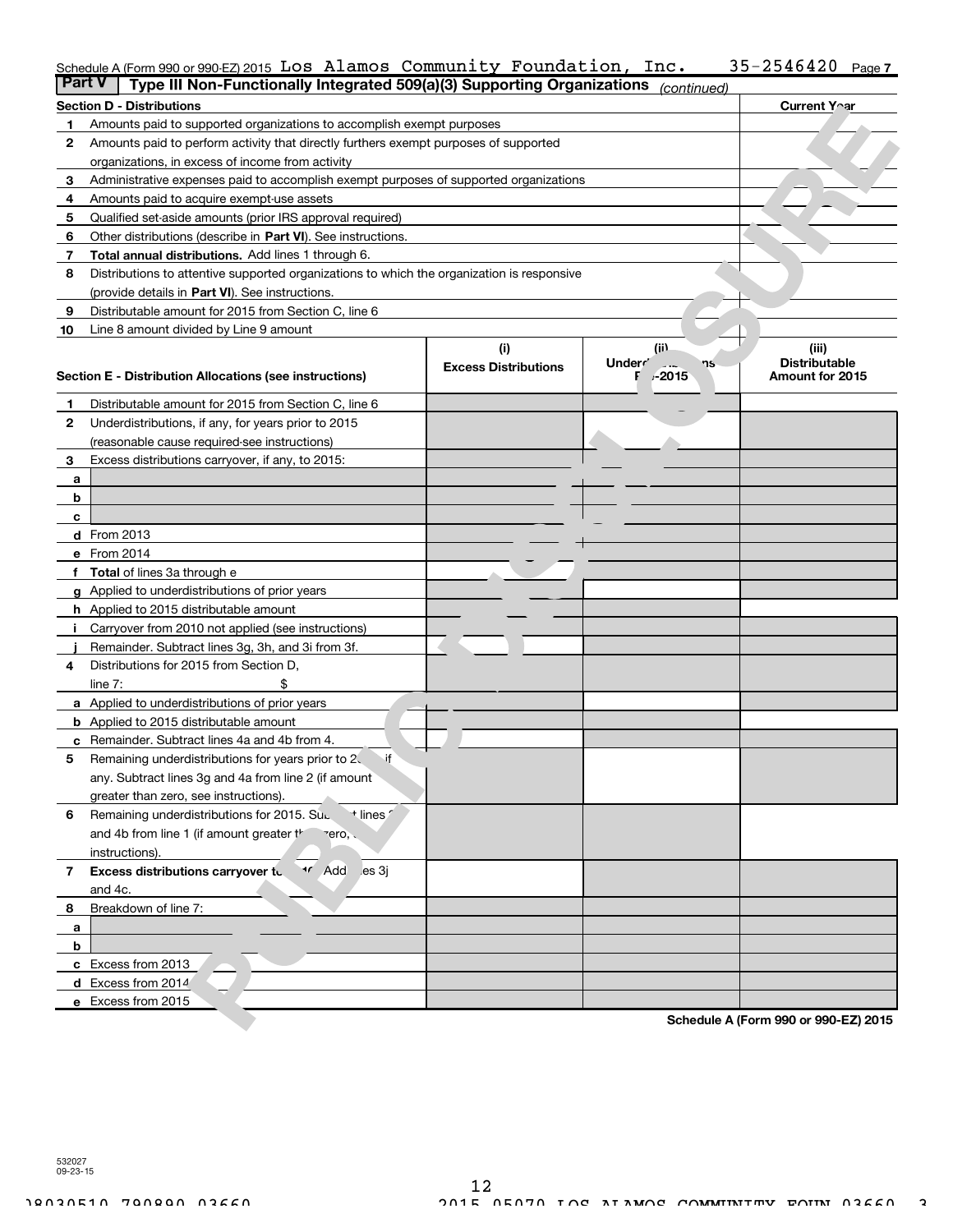### $35 - 2546420$  Page 7 Schedule A (Form 990 or 990-EZ) 2015  $\,$  LOS  $\,$  Alamos  $\,$  Community  $\,$  Foundation,  $\,$  Inc.  $\,$   $\,$   $\,$  35-2546420  $\,$   $\,$   $_{\rm Page}$

| <b>Part V</b> | Type III Non-Functionally Integrated 509(a)(3) Supporting Organizations (continued)        |                             |                                                    |                                         |
|---------------|--------------------------------------------------------------------------------------------|-----------------------------|----------------------------------------------------|-----------------------------------------|
|               | Section D - Distributions                                                                  |                             |                                                    | Current Y∩ar                            |
| 1             | Amounts paid to supported organizations to accomplish exempt purposes                      |                             |                                                    |                                         |
| 2             | Amounts paid to perform activity that directly furthers exempt purposes of supported       |                             |                                                    |                                         |
|               | organizations, in excess of income from activity                                           |                             |                                                    |                                         |
| 3             | Administrative expenses paid to accomplish exempt purposes of supported organizations      |                             |                                                    |                                         |
| 4             | Amounts paid to acquire exempt-use assets                                                  |                             |                                                    |                                         |
| 5             | Qualified set-aside amounts (prior IRS approval required)                                  |                             |                                                    |                                         |
| 6             | Other distributions (describe in Part VI). See instructions.                               |                             |                                                    |                                         |
| 7             | <b>Total annual distributions.</b> Add lines 1 through 6.                                  |                             |                                                    |                                         |
| 8             | Distributions to attentive supported organizations to which the organization is responsive |                             |                                                    |                                         |
|               | (provide details in Part VI). See instructions.                                            |                             |                                                    |                                         |
| 9             | Distributable amount for 2015 from Section C, line 6                                       |                             |                                                    |                                         |
| 10            | Line 8 amount divided by Line 9 amount                                                     |                             |                                                    |                                         |
|               |                                                                                            | (i)                         | (i)                                                | (iii)                                   |
|               | Section E - Distribution Allocations (see instructions)                                    | <b>Excess Distributions</b> | Underr <sup>'</sup><br>$\sim 100$<br>٦S<br>F ⊬2015 | <b>Distributable</b><br>Amount for 2015 |
|               |                                                                                            |                             |                                                    |                                         |
| 1             | Distributable amount for 2015 from Section C, line 6                                       |                             |                                                    |                                         |
| 2             | Underdistributions, if any, for years prior to 2015                                        |                             |                                                    |                                         |
|               | (reasonable cause required-see instructions)                                               |                             |                                                    |                                         |
| 3             | Excess distributions carryover, if any, to 2015:                                           |                             |                                                    |                                         |
| a             |                                                                                            |                             |                                                    |                                         |
| b             |                                                                                            |                             |                                                    |                                         |
| c             |                                                                                            |                             |                                                    |                                         |
|               | <b>d</b> From 2013                                                                         |                             |                                                    |                                         |
|               | e From 2014                                                                                |                             |                                                    |                                         |
|               | f Total of lines 3a through e                                                              |                             |                                                    |                                         |
|               | g Applied to underdistributions of prior years                                             |                             |                                                    |                                         |
|               | <b>h</b> Applied to 2015 distributable amount                                              |                             |                                                    |                                         |
| j.            | Carryover from 2010 not applied (see instructions)                                         |                             |                                                    |                                         |
|               | Remainder. Subtract lines 3g, 3h, and 3i from 3f.                                          |                             |                                                    |                                         |
| 4             | Distributions for 2015 from Section D,                                                     |                             |                                                    |                                         |
|               | line $7:$<br>\$                                                                            |                             |                                                    |                                         |
|               | a Applied to underdistributions of prior years                                             |                             |                                                    |                                         |
|               | <b>b</b> Applied to 2015 distributable amount                                              |                             |                                                    |                                         |
|               | c Remainder. Subtract lines 4a and 4b from 4.                                              |                             |                                                    |                                         |
| 5             | if<br>Remaining underdistributions for years prior to 2                                    |                             |                                                    |                                         |
|               | any. Subtract lines 3g and 4a from line 2 (if amount                                       |                             |                                                    |                                         |
|               | greater than zero, see instructions).                                                      |                             |                                                    |                                         |
| 6             | Remaining underdistributions for 2015. Sup<br>* lines                                      |                             |                                                    |                                         |
|               | and 4b from line 1 (if amount greater the<br>$zero,$ .                                     |                             |                                                    |                                         |
|               | instructions).                                                                             |                             |                                                    |                                         |
| 7             | Excess distributions carryover to<br><sup>1</sup> Add es 3j                                |                             |                                                    |                                         |
|               | and 4c.                                                                                    |                             |                                                    |                                         |
| 8             | Breakdown of line 7:                                                                       |                             |                                                    |                                         |
| a             |                                                                                            |                             |                                                    |                                         |
| b             |                                                                                            |                             |                                                    |                                         |
|               | c Excess from 2013                                                                         |                             |                                                    |                                         |
|               | d Excess from 2014                                                                         |                             |                                                    |                                         |
|               | e Excess from 2015                                                                         |                             |                                                    |                                         |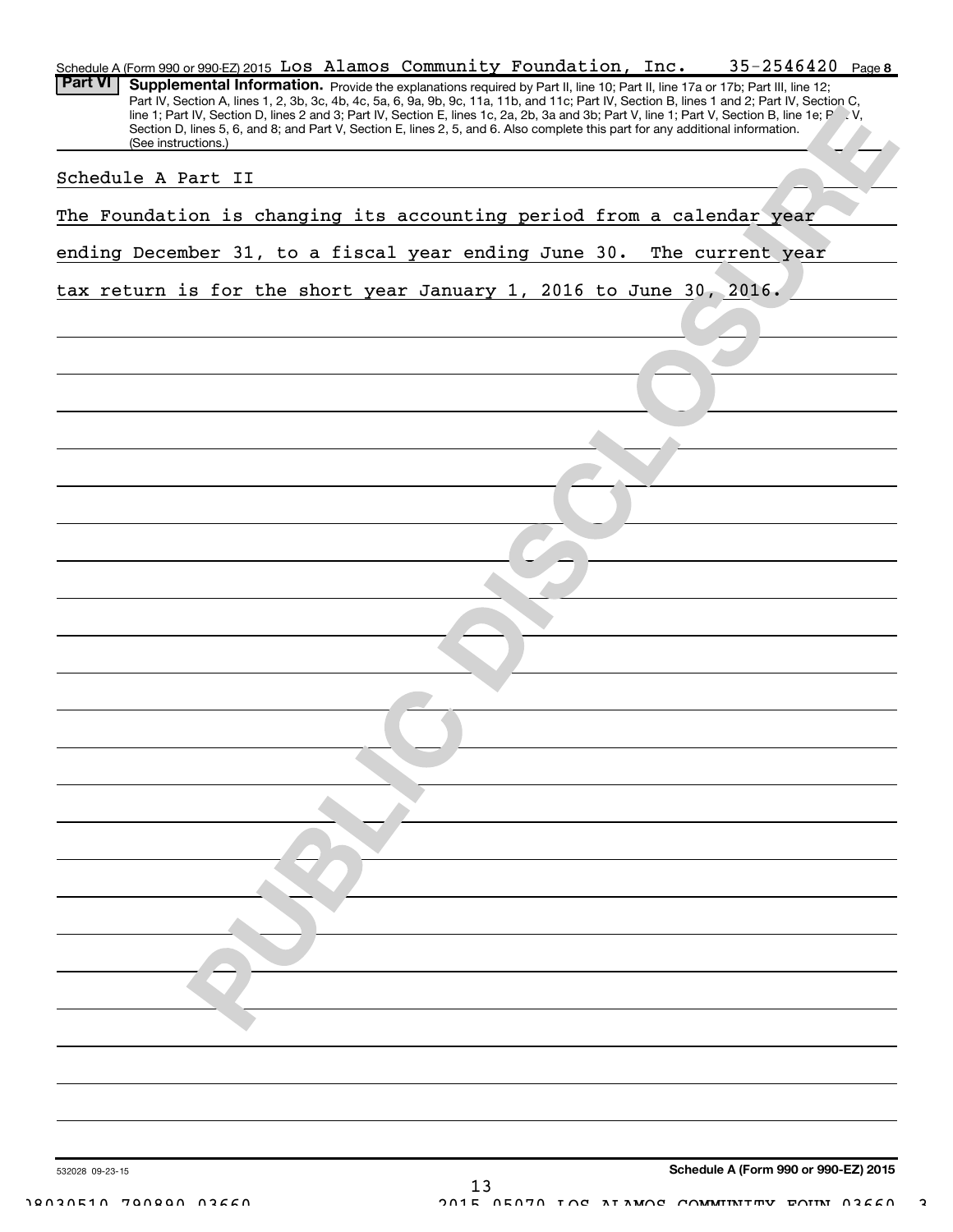|                | Schedule A (Form 990 or 990-EZ) 2015 LOS Alamos Community Foundation, Inc. |                     |  |                                                                                                                                                                                                                                                                                                                                                                                                                                                                                                                                                                  |  |  |  |  | $35 - 2546420$ Page 8 |  |
|----------------|----------------------------------------------------------------------------|---------------------|--|------------------------------------------------------------------------------------------------------------------------------------------------------------------------------------------------------------------------------------------------------------------------------------------------------------------------------------------------------------------------------------------------------------------------------------------------------------------------------------------------------------------------------------------------------------------|--|--|--|--|-----------------------|--|
| <b>Part VI</b> |                                                                            |                     |  | Supplemental Information. Provide the explanations required by Part II, line 10; Part II, line 17a or 17b; Part III, line 12;<br>Part IV, Section A, lines 1, 2, 3b, 3c, 4b, 4c, 5a, 6, 9a, 9b, 9c, 11a, 11b, and 11c; Part IV, Section B, lines 1 and 2; Part IV, Section C,<br>line 1; Part IV, Section D, lines 2 and 3; Part IV, Section E, lines 1c, 2a, 2b, 3a and 3b; Part V, line 1; Part V, Section B, line 1e; P V,<br>Section D, lines 5, 6, and 8; and Part V, Section E, lines 2, 5, and 6. Also complete this part for any additional information. |  |  |  |  |                       |  |
|                | Schedule A Part II                                                         | (See instructions.) |  |                                                                                                                                                                                                                                                                                                                                                                                                                                                                                                                                                                  |  |  |  |  |                       |  |
|                |                                                                            |                     |  |                                                                                                                                                                                                                                                                                                                                                                                                                                                                                                                                                                  |  |  |  |  |                       |  |
|                | The Foundation is changing its accounting period from a calendar year      |                     |  |                                                                                                                                                                                                                                                                                                                                                                                                                                                                                                                                                                  |  |  |  |  |                       |  |
|                | ending December 31, to a fiscal year ending June 30. The current year      |                     |  |                                                                                                                                                                                                                                                                                                                                                                                                                                                                                                                                                                  |  |  |  |  |                       |  |
|                | tax return is for the short year January 1, 2016 to June 30, 2016.         |                     |  |                                                                                                                                                                                                                                                                                                                                                                                                                                                                                                                                                                  |  |  |  |  |                       |  |
|                |                                                                            |                     |  |                                                                                                                                                                                                                                                                                                                                                                                                                                                                                                                                                                  |  |  |  |  |                       |  |
|                |                                                                            |                     |  |                                                                                                                                                                                                                                                                                                                                                                                                                                                                                                                                                                  |  |  |  |  |                       |  |
|                |                                                                            |                     |  |                                                                                                                                                                                                                                                                                                                                                                                                                                                                                                                                                                  |  |  |  |  |                       |  |
|                |                                                                            |                     |  |                                                                                                                                                                                                                                                                                                                                                                                                                                                                                                                                                                  |  |  |  |  |                       |  |
|                |                                                                            |                     |  |                                                                                                                                                                                                                                                                                                                                                                                                                                                                                                                                                                  |  |  |  |  |                       |  |
|                |                                                                            |                     |  |                                                                                                                                                                                                                                                                                                                                                                                                                                                                                                                                                                  |  |  |  |  |                       |  |
|                |                                                                            |                     |  |                                                                                                                                                                                                                                                                                                                                                                                                                                                                                                                                                                  |  |  |  |  |                       |  |
|                |                                                                            |                     |  |                                                                                                                                                                                                                                                                                                                                                                                                                                                                                                                                                                  |  |  |  |  |                       |  |
|                |                                                                            |                     |  |                                                                                                                                                                                                                                                                                                                                                                                                                                                                                                                                                                  |  |  |  |  |                       |  |
|                |                                                                            |                     |  |                                                                                                                                                                                                                                                                                                                                                                                                                                                                                                                                                                  |  |  |  |  |                       |  |
|                |                                                                            |                     |  |                                                                                                                                                                                                                                                                                                                                                                                                                                                                                                                                                                  |  |  |  |  |                       |  |
|                |                                                                            |                     |  |                                                                                                                                                                                                                                                                                                                                                                                                                                                                                                                                                                  |  |  |  |  |                       |  |
|                |                                                                            |                     |  |                                                                                                                                                                                                                                                                                                                                                                                                                                                                                                                                                                  |  |  |  |  |                       |  |
|                |                                                                            |                     |  |                                                                                                                                                                                                                                                                                                                                                                                                                                                                                                                                                                  |  |  |  |  |                       |  |
|                |                                                                            |                     |  |                                                                                                                                                                                                                                                                                                                                                                                                                                                                                                                                                                  |  |  |  |  |                       |  |
|                |                                                                            |                     |  |                                                                                                                                                                                                                                                                                                                                                                                                                                                                                                                                                                  |  |  |  |  |                       |  |
|                |                                                                            |                     |  |                                                                                                                                                                                                                                                                                                                                                                                                                                                                                                                                                                  |  |  |  |  |                       |  |
|                |                                                                            |                     |  |                                                                                                                                                                                                                                                                                                                                                                                                                                                                                                                                                                  |  |  |  |  |                       |  |
|                |                                                                            |                     |  |                                                                                                                                                                                                                                                                                                                                                                                                                                                                                                                                                                  |  |  |  |  |                       |  |
|                |                                                                            |                     |  |                                                                                                                                                                                                                                                                                                                                                                                                                                                                                                                                                                  |  |  |  |  |                       |  |
|                |                                                                            |                     |  |                                                                                                                                                                                                                                                                                                                                                                                                                                                                                                                                                                  |  |  |  |  |                       |  |
|                |                                                                            |                     |  |                                                                                                                                                                                                                                                                                                                                                                                                                                                                                                                                                                  |  |  |  |  |                       |  |
|                |                                                                            |                     |  |                                                                                                                                                                                                                                                                                                                                                                                                                                                                                                                                                                  |  |  |  |  |                       |  |
|                |                                                                            |                     |  |                                                                                                                                                                                                                                                                                                                                                                                                                                                                                                                                                                  |  |  |  |  |                       |  |
|                |                                                                            |                     |  |                                                                                                                                                                                                                                                                                                                                                                                                                                                                                                                                                                  |  |  |  |  |                       |  |

532028 09-23-15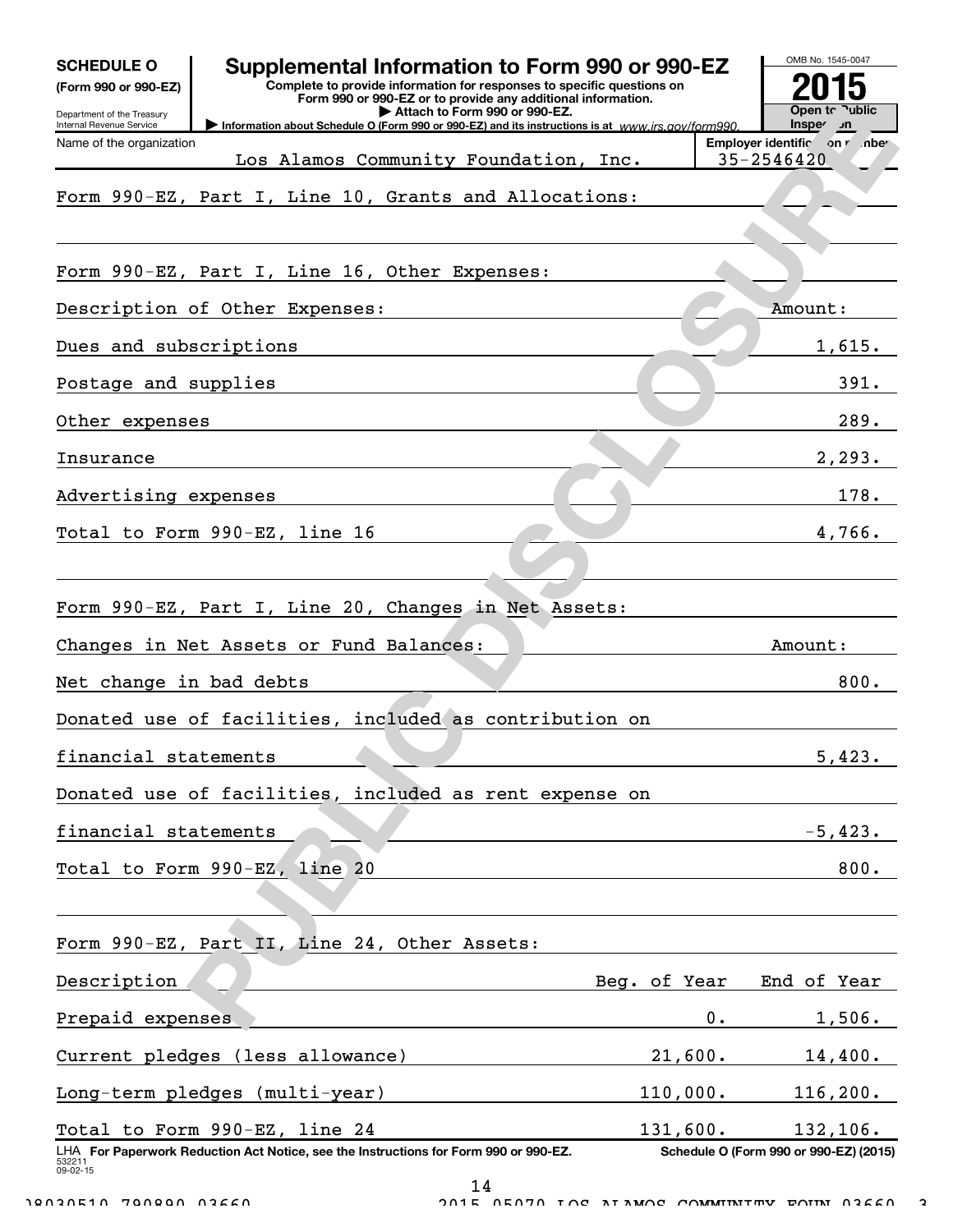| Supplemental Information to Form 990 or 990-EZ<br><b>SCHEDULE O</b><br>Complete to provide information for responses to specific questions on<br>(Form 990 or 990-EZ)<br>Form 990 or 990-EZ or to provide any additional information.<br>Attach to Form 990 or 990-EZ.<br>Department of the Treasury<br>Information about Schedule O (Form 990 or 990-EZ) and its instructions is at www.irs.gov/form990.<br>Internal Revenue Service |              | OMB No. 1545-0047<br>Open to Public<br>n <i>c</i> nspe |
|---------------------------------------------------------------------------------------------------------------------------------------------------------------------------------------------------------------------------------------------------------------------------------------------------------------------------------------------------------------------------------------------------------------------------------------|--------------|--------------------------------------------------------|
| Name of the organization<br>Los Alamos Community Foundation, Inc.                                                                                                                                                                                                                                                                                                                                                                     |              | Employer identific on r .nber<br>35-2546420            |
| Form 990-EZ, Part I, Line 10, Grants and Allocations:                                                                                                                                                                                                                                                                                                                                                                                 |              |                                                        |
| Form 990-EZ, Part I, Line 16, Other Expenses:                                                                                                                                                                                                                                                                                                                                                                                         |              |                                                        |
| Description of Other Expenses:                                                                                                                                                                                                                                                                                                                                                                                                        |              | Amount:                                                |
| Dues and subscriptions                                                                                                                                                                                                                                                                                                                                                                                                                |              | 1,615.                                                 |
| Postage and supplies                                                                                                                                                                                                                                                                                                                                                                                                                  |              | 391.                                                   |
| Other expenses                                                                                                                                                                                                                                                                                                                                                                                                                        |              | 289.                                                   |
| Insurance                                                                                                                                                                                                                                                                                                                                                                                                                             |              | 2, 293.                                                |
| Advertising expenses                                                                                                                                                                                                                                                                                                                                                                                                                  |              | 178.                                                   |
| Total to Form 990-EZ, line 16                                                                                                                                                                                                                                                                                                                                                                                                         |              | 4,766.                                                 |
|                                                                                                                                                                                                                                                                                                                                                                                                                                       |              |                                                        |
| Form 990-EZ, Part I, Line 20, Changes in Net Assets:                                                                                                                                                                                                                                                                                                                                                                                  |              |                                                        |
| Changes in Net Assets or Fund Balances:                                                                                                                                                                                                                                                                                                                                                                                               |              | Amount :                                               |
| Net change in bad debts                                                                                                                                                                                                                                                                                                                                                                                                               |              | 800.                                                   |
| Donated use of facilities, included as contribution on                                                                                                                                                                                                                                                                                                                                                                                |              |                                                        |
| financial statements                                                                                                                                                                                                                                                                                                                                                                                                                  |              | 5,423.                                                 |
| Donated use of facilities, included as rent expense on                                                                                                                                                                                                                                                                                                                                                                                |              |                                                        |
| financial statements                                                                                                                                                                                                                                                                                                                                                                                                                  |              | $-5,423.$                                              |
| Total to Form 990-EZ, line 20                                                                                                                                                                                                                                                                                                                                                                                                         |              | 800.                                                   |
|                                                                                                                                                                                                                                                                                                                                                                                                                                       |              |                                                        |
| Form 990-EZ, Part II, Line 24, Other Assets:                                                                                                                                                                                                                                                                                                                                                                                          |              |                                                        |
| Description                                                                                                                                                                                                                                                                                                                                                                                                                           | Beg. of Year | End of Year                                            |
| Prepaid expenses                                                                                                                                                                                                                                                                                                                                                                                                                      |              | 0.<br>1,506.                                           |
| Current pledges (less allowance)                                                                                                                                                                                                                                                                                                                                                                                                      | 21,600.      | 14,400.                                                |
| Long-term pledges (multi-year)                                                                                                                                                                                                                                                                                                                                                                                                        | 110,000.     | 116, 200.                                              |
| Total to Form 990-EZ, line 24                                                                                                                                                                                                                                                                                                                                                                                                         | 131,600.     | 132, 106.                                              |
| LHA For Paperwork Reduction Act Notice, see the Instructions for Form 990 or 990-EZ.<br>532211<br>09-02-15                                                                                                                                                                                                                                                                                                                            |              | Schedule O (Form 990 or 990-EZ) (2015)                 |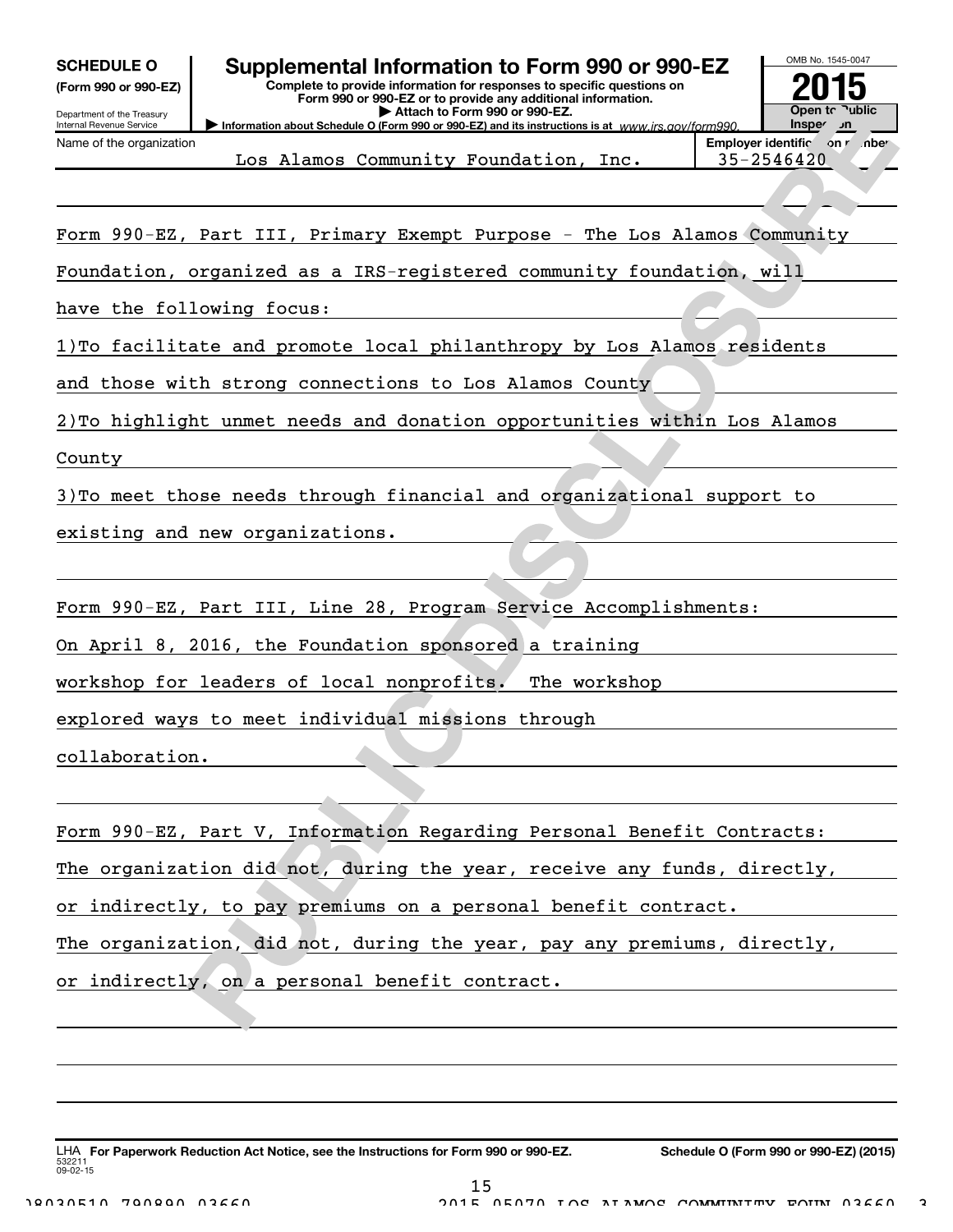# Department of the Treasury

Internal Revenue Service Name of the organization

## SCHEDULE 0 | Supplemental Information to Form 990 or 990-EZ

Information about Schedule O (Form 990 or 990-EZ) and its instructions is at www.irs.gov/form990. Complete to provide information for responses to specific questions on Form 990 or 990-EZ or to provide any additional information. | Attach to Form 990 or 990-EZ.



Los Alamos Community Foundation, Inc. | 35-2546420

Form 990-EZ, Part III, Primary Exempt Purpose - The Los Alamos Community

Foundation, organized as a IRS-registered community foundation, will

have the following focus:

1)To facilitate and promote local philanthropy by Los Alamos residents

and those with strong connections to Los Alamos County

2)To highlight unmet needs and donation opportunities within Los Alamos

County

3)To meet those needs through financial and organizational support to

existing and new organizations.

Form 990-EZ, Part III, Line 28, Program Service Accomplishments:

On April 8, 2016, the Foundation sponsored a training

workshop for leaders of local nonprofits. The workshop

explored ways to meet individual missions through

collaboration.

| Form 990-EZ, Part V, Information Regarding Personal Benefit Contracts:  |  |
|-------------------------------------------------------------------------|--|
| The organization did not, during the year, receive any funds, directly, |  |
| or indirectly, to pay premiums on a personal benefit contract.          |  |
| The organization, did not, during the year, pay any premiums, directly, |  |
| or indirectly, on a personal benefit contract.                          |  |

532211 09-02-15 LHA For Paperwork Reduction Act Notice, see the Instructions for Form 990 or 990-EZ. Schedule O (Form 990 or 990-EZ) (2015) L